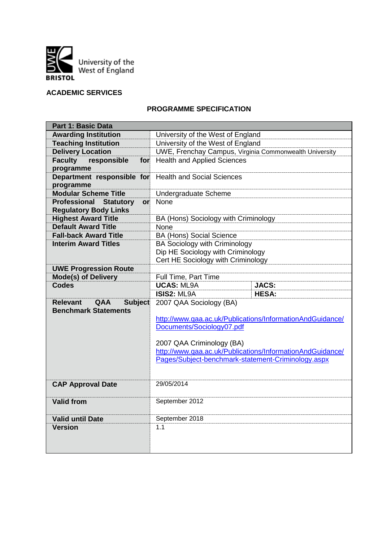

# **ACADEMIC SERVICES**

## **PROGRAMME SPECIFICATION**

| <b>Part 1: Basic Data</b>                       |                                                                                                                 |              |
|-------------------------------------------------|-----------------------------------------------------------------------------------------------------------------|--------------|
| <b>Awarding Institution</b>                     | University of the West of England                                                                               |              |
| <b>Teaching Institution</b>                     | University of the West of England                                                                               |              |
| <b>Delivery Location</b>                        | <b>UWE, Frenchay Campus, Virginia Commonwealth University</b>                                                   |              |
| <b>Faculty</b><br>responsible<br>for            | <b>Health and Applied Sciences</b>                                                                              |              |
| programme                                       |                                                                                                                 |              |
| Department responsible for                      | <b>Health and Social Sciences</b>                                                                               |              |
| programme                                       |                                                                                                                 |              |
| <b>Modular Scheme Title</b>                     | Undergraduate Scheme                                                                                            |              |
| <b>Professional</b><br><b>Statutory</b><br>or   | None                                                                                                            |              |
| <b>Regulatory Body Links</b>                    |                                                                                                                 |              |
| <b>Highest Award Title</b>                      | BA (Hons) Sociology with Criminology                                                                            |              |
| <b>Default Award Title</b>                      | None                                                                                                            |              |
| <b>Fall-back Award Title</b>                    | <b>BA (Hons) Social Science</b>                                                                                 |              |
| <b>Interim Award Titles</b>                     | <b>BA Sociology with Criminology</b>                                                                            |              |
|                                                 | Dip HE Sociology with Criminology                                                                               |              |
|                                                 | Cert HE Sociology with Criminology                                                                              |              |
| <b>UWE Progression Route</b>                    |                                                                                                                 |              |
| <b>Mode(s) of Delivery</b>                      | Full Time, Part Time                                                                                            |              |
| <b>Codes</b>                                    | <b>UCAS: ML9A</b>                                                                                               | <b>JACS:</b> |
|                                                 | <b>ISIS2: ML9A</b>                                                                                              | <b>HESA:</b> |
| <b>Relevant</b><br><b>Subject</b><br><b>QAA</b> | 2007 QAA Sociology (BA)                                                                                         |              |
| <b>Benchmark Statements</b>                     |                                                                                                                 |              |
|                                                 | http://www.qaa.ac.uk/Publications/InformationAndGuidance/                                                       |              |
|                                                 | Documents/Sociology07.pdf                                                                                       |              |
|                                                 |                                                                                                                 |              |
|                                                 | 2007 QAA Criminology (BA)                                                                                       |              |
|                                                 | http://www.qaa.ac.uk/Publications/InformationAndGuidance/<br>Pages/Subject-benchmark-statement-Criminology.aspx |              |
|                                                 |                                                                                                                 |              |
|                                                 |                                                                                                                 |              |
| <b>CAP Approval Date</b>                        | 29/05/2014                                                                                                      |              |
|                                                 |                                                                                                                 |              |
| <b>Valid from</b>                               | September 2012                                                                                                  |              |
|                                                 |                                                                                                                 |              |
| <b>Valid until Date</b>                         | September 2018                                                                                                  |              |
| <b>Version</b>                                  |                                                                                                                 |              |
|                                                 | 1.1                                                                                                             |              |
|                                                 |                                                                                                                 |              |
|                                                 |                                                                                                                 |              |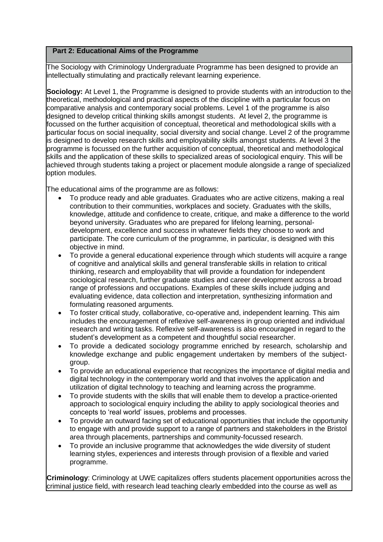## **Part 2: Educational Aims of the Programme**

The Sociology with Criminology Undergraduate Programme has been designed to provide an intellectually stimulating and practically relevant learning experience.

**Sociology:** At Level 1, the Programme is designed to provide students with an introduction to the theoretical, methodological and practical aspects of the discipline with a particular focus on comparative analysis and contemporary social problems. Level 1 of the programme is also designed to develop critical thinking skills amongst students. At level 2, the programme is focussed on the further acquisition of conceptual, theoretical and methodological skills with a particular focus on social inequality, social diversity and social change. Level 2 of the programme is designed to develop research skills and employability skills amongst students. At level 3 the programme is focussed on the further acquisition of conceptual, theoretical and methodological skills and the application of these skills to specialized areas of sociological enquiry. This will be achieved through students taking a project or placement module alongside a range of specialized option modules.

The educational aims of the programme are as follows:

- To produce ready and able graduates. Graduates who are active citizens, making a real contribution to their communities, workplaces and society. Graduates with the skills, knowledge, attitude and confidence to create, critique, and make a difference to the world beyond university. Graduates who are prepared for lifelong learning, personaldevelopment, excellence and success in whatever fields they choose to work and participate. The core curriculum of the programme, in particular, is designed with this objective in mind.
- To provide a general educational experience through which students will acquire a range of cognitive and analytical skills and general transferable skills in relation to critical thinking, research and employability that will provide a foundation for independent sociological research, further graduate studies and career development across a broad range of professions and occupations. Examples of these skills include judging and evaluating evidence, data collection and interpretation, synthesizing information and formulating reasoned arguments.
- To foster critical study, collaborative, co-operative and, independent learning. This aim includes the encouragement of reflexive self-awareness in group oriented and individual research and writing tasks. Reflexive self-awareness is also encouraged in regard to the student's development as a competent and thoughtful social researcher.
- To provide a dedicated sociology programme enriched by research, scholarship and knowledge exchange and public engagement undertaken by members of the subjectgroup.
- To provide an educational experience that recognizes the importance of digital media and digital technology in the contemporary world and that involves the application and utilization of digital technology to teaching and learning across the programme.
- To provide students with the skills that will enable them to develop a practice-oriented approach to sociological enquiry including the ability to apply sociological theories and concepts to 'real world' issues, problems and processes.
- To provide an outward facing set of educational opportunities that include the opportunity to engage with and provide support to a range of partners and stakeholders in the Bristol area through placements, partnerships and community-focussed research.
- To provide an inclusive programme that acknowledges the wide diversity of student learning styles, experiences and interests through provision of a flexible and varied programme.

**Criminology**: Criminology at UWE capitalizes offers students placement opportunities across the criminal justice field, with research lead teaching clearly embedded into the course as well as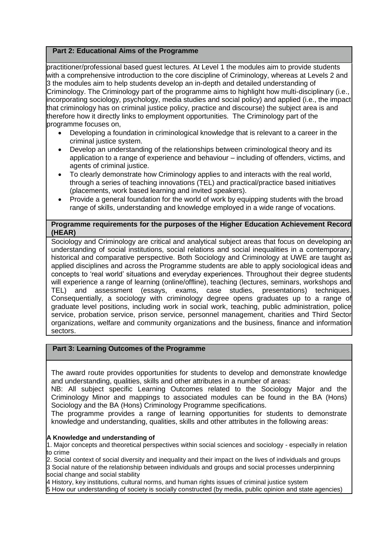# **Part 2: Educational Aims of the Programme**

practitioner/professional based guest lectures. At Level 1 the modules aim to provide students with a comprehensive introduction to the core discipline of Criminology, whereas at Levels 2 and 3 the modules aim to help students develop an in-depth and detailed understanding of Criminology. The Criminology part of the programme aims to highlight how multi-disciplinary (i.e., incorporating sociology, psychology, media studies and social policy) and applied (i.e., the impact that criminology has on criminal justice policy, practice and discourse) the subject area is and therefore how it directly links to employment opportunities. The Criminology part of the programme focuses on,

- Developing a foundation in criminological knowledge that is relevant to a career in the criminal justice system.
- Develop an understanding of the relationships between criminological theory and its application to a range of experience and behaviour – including of offenders, victims, and agents of criminal justice.
- To clearly demonstrate how Criminology applies to and interacts with the real world, through a series of teaching innovations (TEL) and practical/practice based initiatives (placements, work based learning and invited speakers).
- Provide a general foundation for the world of work by equipping students with the broad range of skills, understanding and knowledge employed in a wide range of vocations.

# **Programme requirements for the purposes of the Higher Education Achievement Record (HEAR)**

Sociology and Criminology are critical and analytical subject areas that focus on developing an understanding of social institutions, social relations and social inequalities in a contemporary, historical and comparative perspective. Both Sociology and Criminology at UWE are taught as applied disciplines and across the Programme students are able to apply sociological ideas and concepts to 'real world' situations and everyday experiences. Throughout their degree students will experience a range of learning (online/offline), teaching (lectures, seminars, workshops and TEL) and assessment (essays, exams, case studies, presentations) techniques. Consequentially, a sociology with criminology degree opens graduates up to a range of graduate level positions, including work in social work, teaching, public administration, police service, probation service, prison service, personnel management, charities and Third Sector organizations, welfare and community organizations and the business, finance and information sectors.

### **Part 3: Learning Outcomes of the Programme**

The award route provides opportunities for students to develop and demonstrate knowledge and understanding, qualities, skills and other attributes in a number of areas:

NB: All subject specific Learning Outcomes related to the Sociology Major and the Criminology Minor and mappings to associated modules can be found in the BA (Hons) Sociology and the BA (Hons) Criminology Programme specifications.

The programme provides a range of learning opportunities for students to demonstrate knowledge and understanding, qualities, skills and other attributes in the following areas:

### **A Knowledge and understanding of**

1. Major concepts and theoretical perspectives within social sciences and sociology - especially in relation to crime

2. Social context of social diversity and inequality and their impact on the lives of individuals and groups

3 Social nature of the relationship between individuals and groups and social processes underpinning social change and social stability

4 History, key institutions, cultural norms, and human rights issues of criminal justice system

5 How our understanding of society is socially constructed (by media, public opinion and state agencies)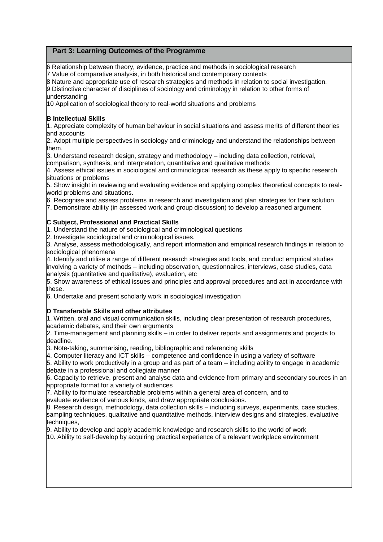# **Part 3: Learning Outcomes of the Programme**

6 Relationship between theory, evidence, practice and methods in sociological research 7 Value of comparative analysis, in both historical and contemporary contexts

8 Nature and appropriate use of research strategies and methods in relation to social investigation. 9 Distinctive character of disciplines of sociology and criminology in relation to other forms of understanding

10 Application of sociological theory to real-world situations and problems

### **B Intellectual Skills**

1. Appreciate complexity of human behaviour in social situations and assess merits of different theories and accounts

2. Adopt multiple perspectives in sociology and criminology and understand the relationships between them.

3. Understand research design, strategy and methodology – including data collection, retrieval, comparison, synthesis, and interpretation, quantitative and qualitative methods

4. Assess ethical issues in sociological and criminological research as these apply to specific research situations or problems

5. Show insight in reviewing and evaluating evidence and applying complex theoretical concepts to realworld problems and situations.

6. Recognise and assess problems in research and investigation and plan strategies for their solution 7. Demonstrate ability (in assessed work and group discussion) to develop a reasoned argument

### **C Subject, Professional and Practical Skills**

1. Understand the nature of sociological and criminological questions

2. Investigate sociological and criminological issues.

3. Analyse, assess methodologically, and report information and empirical research findings in relation to sociological phenomena

4. Identify and utilise a range of different research strategies and tools, and conduct empirical studies involving a variety of methods – including observation, questionnaires, interviews, case studies, data analysis (quantitative and qualitative), evaluation, etc

5. Show awareness of ethical issues and principles and approval procedures and act in accordance with these.

6. Undertake and present scholarly work in sociological investigation

### **D Transferable Skills and other attributes**

1. Written, oral and visual communication skills, including clear presentation of research procedures, academic debates, and their own arguments

2. Time-management and planning skills – in order to deliver reports and assignments and projects to deadline.

3. Note-taking, summarising, reading, bibliographic and referencing skills

4. Computer literacy and ICT skills – competence and confidence in using a variety of software

5. Ability to work productively in a group and as part of a team – including ability to engage in academic debate in a professional and collegiate manner

6. Capacity to retrieve, present and analyse data and evidence from primary and secondary sources in an appropriate format for a variety of audiences

7. Ability to formulate researchable problems within a general area of concern, and to

evaluate evidence of various kinds, and draw appropriate conclusions.

8. Research design, methodology, data collection skills – including surveys, experiments, case studies, sampling techniques, qualitative and quantitative methods, interview designs and strategies, evaluative techniques,

9. Ability to develop and apply academic knowledge and research skills to the world of work 10. Ability to self-develop by acquiring practical experience of a relevant workplace environment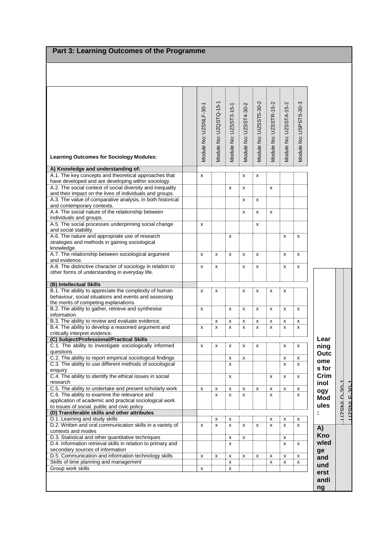# Part 3: Learning Outcomes of the Programme

| <b>Learning Outcomes for Sociology Modules:</b>                                                                                                                                                                                        | Module No: UZSNLF-30-1 | Module No: UZQSTQ-15-1 | Module No: UZSST3-15-1 | Module No: UZSST4-30-2 | Module No: UIZSST5-30-2 | Module No: UZSSTR-15-2 | Module No: UZSSTA-15-2 | Module No: USPSTS-30-3 |                    |              |
|----------------------------------------------------------------------------------------------------------------------------------------------------------------------------------------------------------------------------------------|------------------------|------------------------|------------------------|------------------------|-------------------------|------------------------|------------------------|------------------------|--------------------|--------------|
| A) Knowledge and understanding of:                                                                                                                                                                                                     |                        |                        |                        |                        |                         |                        |                        |                        |                    |              |
| A.1. The key concepts and theoretical approaches that<br>have developed and are developing within sociology.<br>A.2. The social context of social diversity and inequality<br>and their impact on the lives of individuals and groups. | x                      |                        | x                      | x<br>x                 | x                       | x                      |                        |                        |                    |              |
| A.3. The value of comparative analysis, in both historical                                                                                                                                                                             |                        |                        |                        | x                      | х                       |                        |                        |                        |                    |              |
| and contemporary contexts.<br>A.4. The social nature of the relationship between<br>individuals and groups.                                                                                                                            |                        |                        |                        | x                      | x                       | x                      |                        |                        |                    |              |
| A.5. The social processes underpinning social change<br>and social stability.                                                                                                                                                          | x                      |                        |                        |                        | х                       |                        |                        |                        |                    |              |
| A.6. The nature and appropriate use of research<br>strategies and methods in gaining sociological                                                                                                                                      |                        |                        | x                      |                        |                         |                        | x                      | x                      |                    |              |
| knowledge.<br>A.7. The relationship between sociological argument<br>and evidence.                                                                                                                                                     | x                      | X                      | x                      | x                      | X                       |                        | x                      | x                      |                    |              |
| A.8. The distinctive character of sociology in relation to<br>other forms of understanding in everyday life.                                                                                                                           | x                      | x                      |                        | x                      | x                       |                        | x                      | x                      |                    |              |
| (B) Intellectual Skills                                                                                                                                                                                                                |                        |                        |                        |                        |                         |                        |                        |                        |                    |              |
| B.1. The ability to appreciate the complexity of human<br>behaviour, social situations and events and assessing                                                                                                                        | x                      | х                      |                        | x                      | x                       | x                      | х                      |                        |                    |              |
| the merits of competing explanations.<br>B.2. The ability to gather, retrieve and synthesise<br>information.                                                                                                                           | x                      |                        | x                      | x                      | x                       | x                      | X                      | X                      |                    |              |
| B.3. The ability to review and evaluate evidence.                                                                                                                                                                                      |                        | х                      | x                      | х                      | x                       | x                      | x                      | x                      |                    |              |
| B.4. The ability to develop a reasoned argument and<br>critically interpret evidence.                                                                                                                                                  | x                      | x                      | x                      | x                      | x                       | x                      | x                      | x                      |                    |              |
| (C) Subject/Professional/Practical Skills<br>C.1. The ability to investigate sociologically informed                                                                                                                                   | x                      | x                      | x                      | x                      | x                       |                        | x                      | x                      | Lear<br>ning       |              |
| questions                                                                                                                                                                                                                              |                        |                        |                        |                        |                         |                        |                        |                        | Outc               |              |
| C.2. The ability to report empirical sociological findings<br>C.3. The ability to use different methods of sociological                                                                                                                |                        |                        | х<br>X                 | х                      |                         |                        | х<br>X                 | х<br>X                 | ome                |              |
| enquiry                                                                                                                                                                                                                                |                        |                        |                        |                        |                         |                        |                        |                        | s for              |              |
| C.4. The ability to identify the ethical issues in social<br>research                                                                                                                                                                  |                        |                        | x                      |                        |                         | x                      | x                      | x                      | Crim<br>inol       |              |
| C.5. The ability to undertake and present scholarly work                                                                                                                                                                               | x                      | х                      | x                      | x                      | х                       | x                      | x                      | x                      | ogy                |              |
| C.6. The ability to examine the relevance and<br>application of academic and practical sociological work<br>to issues of social, public and civic policy                                                                               |                        | x                      | x                      | x                      |                         | x                      |                        | x                      | <b>Mod</b><br>ules | LIZSMLD-30-1 |
| (D) Transferable skills and other attributes<br>D.1. Learning and study skills                                                                                                                                                         |                        |                        |                        |                        |                         |                        |                        |                        |                    |              |
| D.2. Written and oral communication skills in a variety of<br>contexts and modes                                                                                                                                                       | x                      | х<br>x                 | х<br>x                 | x                      | x                       | x<br>x                 | х<br>х                 | х<br>x                 | A)                 |              |
| D.3. Statistical and other quantitative techniques                                                                                                                                                                                     |                        |                        | x                      | x                      |                         |                        | х                      |                        | Kno                |              |
| D.4. Information retrieval skills in relation to primary and<br>secondary sources of information                                                                                                                                       |                        |                        | x                      |                        |                         |                        | х                      | x                      | wled<br>ge         |              |
| D.5. Communication and information technology skills<br>Skills of time planning and management                                                                                                                                         | x                      | х                      | x<br>x                 | x                      | х                       | x<br>x                 | х<br>х                 | x<br>x                 | and                |              |
| Group work skills                                                                                                                                                                                                                      | x                      |                        | x                      |                        |                         |                        |                        |                        | und                |              |
|                                                                                                                                                                                                                                        |                        |                        |                        |                        |                         |                        |                        |                        | erst<br>andi<br>ng |              |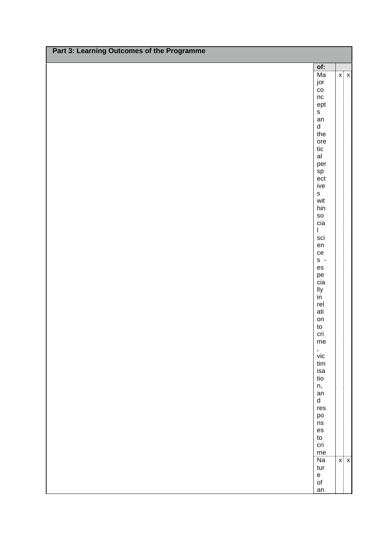| Part 3: Learning Outcomes of the Programme |                                    |            |
|--------------------------------------------|------------------------------------|------------|
|                                            | of:                                |            |
|                                            | Ma                                 | $x \mid x$ |
|                                            | jor                                |            |
|                                            | $\rm{co}$                          |            |
|                                            | $\sf nc$                           |            |
|                                            | ept                                |            |
|                                            | $\mathsf{s}$                       |            |
|                                            | an                                 |            |
|                                            | $\operatorname{\mathsf{d}}$<br>the |            |
|                                            | ore                                |            |
|                                            | $t$ ic                             |            |
|                                            | a                                  |            |
|                                            | per                                |            |
|                                            |                                    |            |
|                                            | sp<br>ect                          |            |
|                                            | ive                                |            |
|                                            | $\mathbf{s}$                       |            |
|                                            | wit                                |            |
|                                            | $\operatorname{\sf hin}$           |            |
|                                            | ${\sf SO}$                         |            |
|                                            | cia                                |            |
|                                            | $\mathsf I$                        |            |
|                                            | sci                                |            |
|                                            | en                                 |            |
|                                            | ce                                 |            |
|                                            | $s -$                              |            |
|                                            | $\mathop{\mathsf{es}}$             |            |
|                                            | pe<br>cia                          |            |
|                                            | lly                                |            |
|                                            | $\overline{in}$                    |            |
|                                            | rel                                |            |
|                                            | ati                                |            |
|                                            | on                                 |            |
|                                            | $\mathsf{to}$                      |            |
|                                            | cri                                |            |
|                                            | me                                 |            |
|                                            | $\,$                               |            |
|                                            | vic                                |            |
|                                            | tim                                |            |
|                                            | isa                                |            |
|                                            | tio                                |            |
|                                            | n,                                 |            |
|                                            | an<br>$\sf d$                      |            |
|                                            | res                                |            |
|                                            | po                                 |            |
|                                            | $\operatorname{\sf ns}$            |            |
|                                            | $\mathop{\mathsf{es}}$             |            |
|                                            | ${\sf to}$                         |            |
|                                            | cri                                |            |
|                                            | me                                 |            |
|                                            | $\overline{Na}$                    | $x \mid x$ |
|                                            | tur                                |            |
|                                            | $\mathsf{e}% _{t}\left( t\right)$  |            |
|                                            | $\mathsf{of}$                      |            |
|                                            | an                                 |            |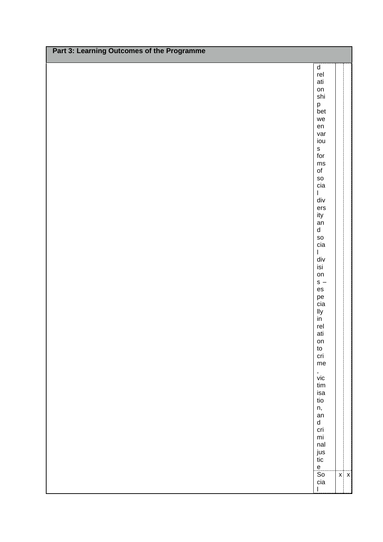| Part 3: Learning Outcomes of the Programme |                               |            |
|--------------------------------------------|-------------------------------|------------|
|                                            | $\sf d$                       |            |
|                                            | rel                           |            |
|                                            | ati                           |            |
|                                            | on                            |            |
|                                            | shi                           |            |
|                                            | p                             |            |
|                                            | bet<br>we                     |            |
|                                            | en                            |            |
|                                            | var                           |            |
|                                            | iou                           |            |
|                                            | $\mathsf{s}$                  |            |
|                                            | for                           |            |
|                                            | ms                            |            |
|                                            | $\mathsf{of}$                 |            |
|                                            | <b>SO</b>                     |            |
|                                            | cia<br>$\overline{1}$         |            |
|                                            | $\operatorname{\mathsf{div}}$ |            |
|                                            | ers                           |            |
|                                            | ity                           |            |
|                                            | an                            |            |
|                                            | $\sf d$                       |            |
|                                            | ${\sf SO}$                    |            |
|                                            | cia                           |            |
|                                            | $\overline{1}$                |            |
|                                            | $\operatorname{\mathsf{div}}$ |            |
|                                            | isi<br>on                     |            |
|                                            | $s -$                         |            |
|                                            | es                            |            |
|                                            | pe                            |            |
|                                            | cia                           |            |
|                                            | lly                           |            |
|                                            | in                            |            |
|                                            | rel                           |            |
|                                            | ati                           |            |
|                                            | on<br>to                      |            |
|                                            | cri                           |            |
|                                            | me                            |            |
|                                            | $\,$                          |            |
|                                            | $\mathsf{vic}$                |            |
|                                            | tim                           |            |
|                                            | isa                           |            |
|                                            | tio                           |            |
|                                            | n,                            |            |
|                                            | an<br>$\sf d$                 |            |
|                                            | cri                           |            |
|                                            | $\mathsf{mi}\xspace$          |            |
|                                            | nal                           |            |
|                                            | jus                           |            |
|                                            | tic                           |            |
|                                            | $\mathsf{e}$                  |            |
|                                            | $\overline{\text{So}}$        | $x \mid x$ |
|                                            | cia<br>I                      |            |
|                                            |                               |            |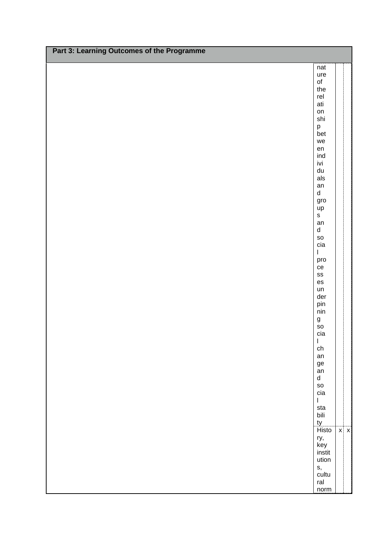| Part 3: Learning Outcomes of the Programme |                                           |            |
|--------------------------------------------|-------------------------------------------|------------|
|                                            |                                           |            |
|                                            | nat                                       |            |
|                                            | ure<br>$\mathsf{of}$                      |            |
|                                            | the                                       |            |
|                                            | rel                                       |            |
|                                            | ati                                       |            |
|                                            | on<br>shi                                 |            |
|                                            |                                           |            |
|                                            | p<br>bet                                  |            |
|                                            | we                                        |            |
|                                            | ${\sf en}$<br>ind                         |            |
|                                            | ivi                                       |            |
|                                            | ${\sf du}$                                |            |
|                                            | als                                       |            |
|                                            | an                                        |            |
|                                            | ${\sf d}$<br>gro                          |            |
|                                            | up                                        |            |
|                                            | $\mathsf{s}$                              |            |
|                                            | an                                        |            |
|                                            | $\operatorname{\mathsf{d}}$<br>${\sf so}$ |            |
|                                            | cia                                       |            |
|                                            | $\overline{1}$                            |            |
|                                            | pro                                       |            |
|                                            | ce                                        |            |
|                                            | ${\tt SS}$<br>es                          |            |
|                                            | un                                        |            |
|                                            | der                                       |            |
|                                            | pin                                       |            |
|                                            | $\mathsf{nin}$                            |            |
|                                            | g<br>so                                   |            |
|                                            | cia                                       |            |
|                                            | $\mathsf I$                               |            |
|                                            | ${\sf ch}$<br>an                          |            |
|                                            | ${\tt ge}$                                |            |
|                                            | an                                        |            |
|                                            | $\sf d$                                   |            |
|                                            | SO<br>cia                                 |            |
|                                            | $\mathsf I$                               |            |
|                                            | sta                                       |            |
|                                            | bili                                      |            |
|                                            | ty<br>Histo                               |            |
|                                            |                                           | $x \mid x$ |
|                                            | ry,<br>key                                |            |
|                                            | instit                                    |            |
|                                            | ution                                     |            |
|                                            | s,<br>cultu                               |            |
|                                            | ral                                       |            |
|                                            | norm                                      |            |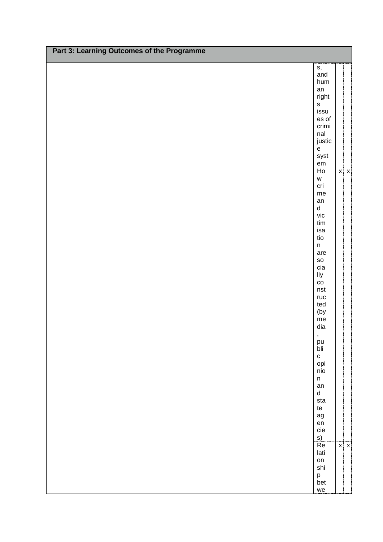| Part 3: Learning Outcomes of the Programme |                                                                                       |            |
|--------------------------------------------|---------------------------------------------------------------------------------------|------------|
|                                            |                                                                                       |            |
|                                            | s,<br>and                                                                             |            |
|                                            | hum                                                                                   |            |
|                                            | an                                                                                    |            |
|                                            | right<br>$\mathsf{s}$                                                                 |            |
|                                            | issu                                                                                  |            |
|                                            | es of                                                                                 |            |
|                                            | crimi                                                                                 |            |
|                                            | nal                                                                                   |            |
|                                            | justic<br>$\mathsf{e}% _{t}\left( t\right)$                                           |            |
|                                            | syst                                                                                  |            |
|                                            | $\mathsf{em}$                                                                         |            |
|                                            | H <sub>O</sub>                                                                        | $x \mid x$ |
|                                            | $\mathsf{W}% _{T}=\mathsf{W}_{T}\!\left( a,b\right) ,\ \mathsf{W}_{T}=\mathsf{W}_{T}$ |            |
|                                            | cri<br>me                                                                             |            |
|                                            | an                                                                                    |            |
|                                            | $\sf d$                                                                               |            |
|                                            | $\mathsf{vic}$                                                                        |            |
|                                            | $\ensuremath{\text{tim}}$                                                             |            |
|                                            | isa<br>tio                                                                            |            |
|                                            | $\mathsf n$                                                                           |            |
|                                            | are                                                                                   |            |
|                                            | SO                                                                                    |            |
|                                            | cia                                                                                   |            |
|                                            | lly<br>$\overline{c}$                                                                 |            |
|                                            | nst                                                                                   |            |
|                                            | ruc                                                                                   |            |
|                                            | ted                                                                                   |            |
|                                            | (by                                                                                   |            |
|                                            | $\mathsf{me}\xspace$<br>dia                                                           |            |
|                                            |                                                                                       |            |
|                                            | ,<br>pu<br>bli                                                                        |            |
|                                            |                                                                                       |            |
|                                            | ${\bf c}$                                                                             |            |
|                                            | opi<br>nio                                                                            |            |
|                                            | $\mathsf{n}$                                                                          |            |
|                                            | an                                                                                    |            |
|                                            | $\operatorname{\mathsf{d}}$                                                           |            |
|                                            | sta<br>te                                                                             |            |
|                                            | $\mathop{\rm ag}\nolimits$                                                            |            |
|                                            |                                                                                       |            |
|                                            | en<br>cie                                                                             |            |
|                                            | s)<br>Re                                                                              |            |
|                                            | lati                                                                                  | $x \mid x$ |
|                                            | on                                                                                    |            |
|                                            | shi                                                                                   |            |
|                                            | p<br>bet                                                                              |            |
|                                            |                                                                                       |            |
|                                            | we                                                                                    |            |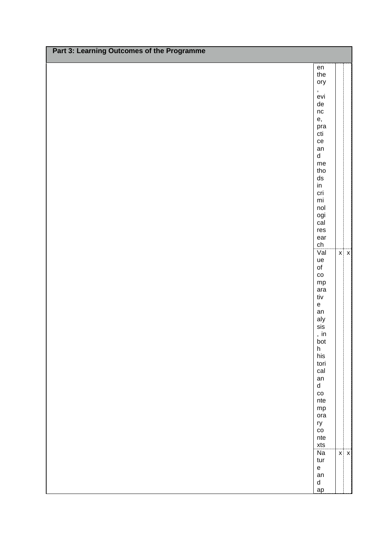| Part 3: Learning Outcomes of the Programme |                                          |            |
|--------------------------------------------|------------------------------------------|------------|
|                                            |                                          |            |
|                                            | en<br>the                                |            |
|                                            | ory                                      |            |
|                                            |                                          |            |
|                                            | ,<br>evi                                 |            |
|                                            | ${\sf de}$                               |            |
|                                            | nc<br>e,                                 |            |
|                                            |                                          |            |
|                                            | pra<br>cti                               |            |
|                                            | ce                                       |            |
|                                            | an                                       |            |
|                                            | $\sf d$<br>me                            |            |
|                                            | tho                                      |            |
|                                            | ${\sf ds}$                               |            |
|                                            | in                                       |            |
|                                            | cri                                      |            |
|                                            | $\mathsf{mi}\xspace$<br>nol              |            |
|                                            | ogi                                      |            |
|                                            | cal                                      |            |
|                                            | res                                      |            |
|                                            | ear                                      |            |
|                                            | ${\sf ch}$<br>Val                        | $x \mid x$ |
|                                            | ue                                       |            |
|                                            | $\mathsf{of}$                            |            |
|                                            | $\rm{co}$                                |            |
|                                            | ${\sf mp}$                               |            |
|                                            | ara<br>tiv                               |            |
|                                            | $\mathsf{e}% _{t}\left( t\right)$        |            |
|                                            | an                                       |            |
|                                            | aly                                      |            |
|                                            | sis                                      |            |
|                                            | , in<br>bot                              |            |
|                                            |                                          |            |
|                                            | h<br>his                                 |            |
|                                            | tori                                     |            |
|                                            | cal<br>an                                |            |
|                                            | $\sf d$                                  |            |
|                                            | $_{\rm CO}$                              |            |
|                                            | nte                                      |            |
|                                            | ${\sf mp}$                               |            |
|                                            | ora                                      |            |
|                                            | ry<br>$\rm{co}$                          |            |
|                                            | nte                                      |            |
|                                            | xts                                      |            |
|                                            | $\overline{Na}$                          | $x \mid x$ |
|                                            | tur<br>$\mathsf{e}% _{t}\left( t\right)$ |            |
|                                            | an                                       |            |
|                                            | $\sf d$                                  |            |
|                                            | ap                                       |            |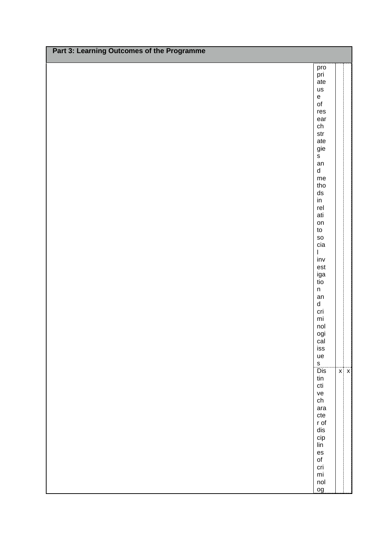| Part 3: Learning Outcomes of the Programme |                                             |            |
|--------------------------------------------|---------------------------------------------|------------|
|                                            |                                             |            |
|                                            | pro<br>pri                                  |            |
|                                            | ate                                         |            |
|                                            | us<br>$\mathsf{e}% _{t}\left( t\right)$     |            |
|                                            | $\mathsf{of}$                               |            |
|                                            | res                                         |            |
|                                            | ear                                         |            |
|                                            | ${\sf ch}$<br>$\operatorname{\mathsf{str}}$ |            |
|                                            | ate                                         |            |
|                                            | gie                                         |            |
|                                            | $\mathsf{s}$<br>an                          |            |
|                                            | $\operatorname{\mathsf{d}}$                 |            |
|                                            | $\mathsf{me}\xspace$                        |            |
|                                            | tho                                         |            |
|                                            | ${\sf ds}$<br>in                            |            |
|                                            | rel                                         |            |
|                                            | ati                                         |            |
|                                            | on<br>${\sf to}$                            |            |
|                                            | ${\sf SO}$                                  |            |
|                                            | cia                                         |            |
|                                            | $\overline{1}$                              |            |
|                                            | $\mathsf{inv}$<br>$\mathsf{est}$            |            |
|                                            | iga                                         |            |
|                                            | tio                                         |            |
|                                            | $\sf n$<br>an                               |            |
|                                            | $\operatorname{\mathsf{d}}$                 |            |
|                                            | cri                                         |            |
|                                            | $\mathsf{mi}$<br>nol                        |            |
|                                            | ogi                                         |            |
|                                            | cal                                         |            |
|                                            | iss                                         |            |
|                                            | ue<br>$\mathsf{s}$                          |            |
|                                            | $\overline{Dis}$                            | $x \mid x$ |
|                                            | tin                                         |            |
|                                            | $\operatorname{\mathsf{cti}}$               |            |
|                                            | ve<br>${\tt ch}$                            |            |
|                                            | ara                                         |            |
|                                            | ${\sf cte}$                                 |            |
|                                            | r of<br>$\operatorname{\mathsf{dis}}$       |            |
|                                            | $\operatorname{\mathsf{clip}}$              |            |
|                                            | $\mathop{\sf lin}$                          |            |
|                                            | $\mathop{\mathsf{es}}$<br>$\mathsf{of}$     |            |
|                                            | cri                                         |            |
|                                            | $\mathsf{mi}$                               |            |
|                                            | nol                                         |            |
|                                            | og                                          |            |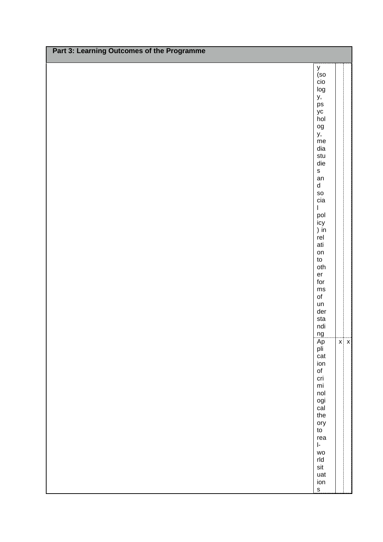| y<br>(so<br>$\overline{c}$ io<br>log<br>у,<br>$\mathsf{ps}$<br>yc<br>hol<br>$_{\rm og}$<br>y,<br>me<br>dia<br>stu<br>die<br>$\mathsf{s}$<br>an<br>$\sf d$<br>${\sf SO}$<br>cia<br>$\mathsf I$<br>pol<br>icy<br>) in<br>rel<br>ati<br>on<br>$\mathsf{to}$<br>oth<br>er<br>for<br>$\mathsf{ms}$<br>$\mathsf{of}$<br>un<br>der<br>sta<br>ndi<br>ng<br>Ap<br>$x \mid x$<br>pli<br>cat<br>ion<br>$\mathsf{of}$<br>cri<br>$\mathsf{mi}$<br>nol<br>ogi<br>cal<br>the<br>ory<br>${\sf to}$<br>rea<br>$\mathsf{I}\text{-}$<br>WO<br>$rld$<br>$\mathsf{s}\mathsf{it}$<br>uat<br>ion | Part 3: Learning Outcomes of the Programme |              |  |
|---------------------------------------------------------------------------------------------------------------------------------------------------------------------------------------------------------------------------------------------------------------------------------------------------------------------------------------------------------------------------------------------------------------------------------------------------------------------------------------------------------------------------------------------------------------------------|--------------------------------------------|--------------|--|
|                                                                                                                                                                                                                                                                                                                                                                                                                                                                                                                                                                           |                                            |              |  |
|                                                                                                                                                                                                                                                                                                                                                                                                                                                                                                                                                                           |                                            |              |  |
|                                                                                                                                                                                                                                                                                                                                                                                                                                                                                                                                                                           |                                            |              |  |
|                                                                                                                                                                                                                                                                                                                                                                                                                                                                                                                                                                           |                                            |              |  |
|                                                                                                                                                                                                                                                                                                                                                                                                                                                                                                                                                                           |                                            |              |  |
|                                                                                                                                                                                                                                                                                                                                                                                                                                                                                                                                                                           |                                            |              |  |
|                                                                                                                                                                                                                                                                                                                                                                                                                                                                                                                                                                           |                                            |              |  |
|                                                                                                                                                                                                                                                                                                                                                                                                                                                                                                                                                                           |                                            |              |  |
|                                                                                                                                                                                                                                                                                                                                                                                                                                                                                                                                                                           |                                            |              |  |
|                                                                                                                                                                                                                                                                                                                                                                                                                                                                                                                                                                           |                                            |              |  |
|                                                                                                                                                                                                                                                                                                                                                                                                                                                                                                                                                                           |                                            |              |  |
|                                                                                                                                                                                                                                                                                                                                                                                                                                                                                                                                                                           |                                            |              |  |
|                                                                                                                                                                                                                                                                                                                                                                                                                                                                                                                                                                           |                                            |              |  |
|                                                                                                                                                                                                                                                                                                                                                                                                                                                                                                                                                                           |                                            |              |  |
|                                                                                                                                                                                                                                                                                                                                                                                                                                                                                                                                                                           |                                            |              |  |
|                                                                                                                                                                                                                                                                                                                                                                                                                                                                                                                                                                           |                                            |              |  |
|                                                                                                                                                                                                                                                                                                                                                                                                                                                                                                                                                                           |                                            |              |  |
|                                                                                                                                                                                                                                                                                                                                                                                                                                                                                                                                                                           |                                            |              |  |
|                                                                                                                                                                                                                                                                                                                                                                                                                                                                                                                                                                           |                                            |              |  |
|                                                                                                                                                                                                                                                                                                                                                                                                                                                                                                                                                                           |                                            |              |  |
|                                                                                                                                                                                                                                                                                                                                                                                                                                                                                                                                                                           |                                            |              |  |
|                                                                                                                                                                                                                                                                                                                                                                                                                                                                                                                                                                           |                                            |              |  |
|                                                                                                                                                                                                                                                                                                                                                                                                                                                                                                                                                                           |                                            |              |  |
|                                                                                                                                                                                                                                                                                                                                                                                                                                                                                                                                                                           |                                            |              |  |
|                                                                                                                                                                                                                                                                                                                                                                                                                                                                                                                                                                           |                                            |              |  |
|                                                                                                                                                                                                                                                                                                                                                                                                                                                                                                                                                                           |                                            |              |  |
|                                                                                                                                                                                                                                                                                                                                                                                                                                                                                                                                                                           |                                            |              |  |
|                                                                                                                                                                                                                                                                                                                                                                                                                                                                                                                                                                           |                                            |              |  |
|                                                                                                                                                                                                                                                                                                                                                                                                                                                                                                                                                                           |                                            |              |  |
|                                                                                                                                                                                                                                                                                                                                                                                                                                                                                                                                                                           |                                            |              |  |
|                                                                                                                                                                                                                                                                                                                                                                                                                                                                                                                                                                           |                                            |              |  |
|                                                                                                                                                                                                                                                                                                                                                                                                                                                                                                                                                                           |                                            |              |  |
|                                                                                                                                                                                                                                                                                                                                                                                                                                                                                                                                                                           |                                            |              |  |
|                                                                                                                                                                                                                                                                                                                                                                                                                                                                                                                                                                           |                                            |              |  |
|                                                                                                                                                                                                                                                                                                                                                                                                                                                                                                                                                                           |                                            |              |  |
|                                                                                                                                                                                                                                                                                                                                                                                                                                                                                                                                                                           |                                            |              |  |
|                                                                                                                                                                                                                                                                                                                                                                                                                                                                                                                                                                           |                                            |              |  |
|                                                                                                                                                                                                                                                                                                                                                                                                                                                                                                                                                                           |                                            |              |  |
|                                                                                                                                                                                                                                                                                                                                                                                                                                                                                                                                                                           |                                            |              |  |
|                                                                                                                                                                                                                                                                                                                                                                                                                                                                                                                                                                           |                                            |              |  |
|                                                                                                                                                                                                                                                                                                                                                                                                                                                                                                                                                                           |                                            |              |  |
|                                                                                                                                                                                                                                                                                                                                                                                                                                                                                                                                                                           |                                            |              |  |
|                                                                                                                                                                                                                                                                                                                                                                                                                                                                                                                                                                           |                                            | $\mathsf{s}$ |  |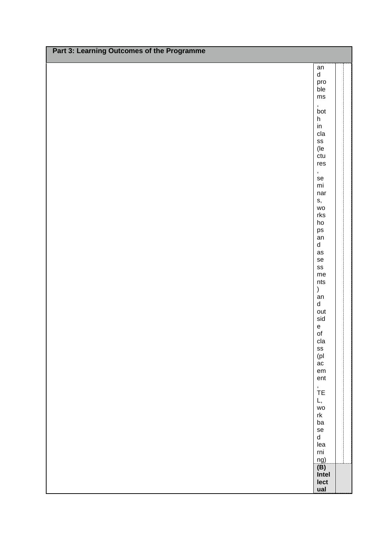| Part 3: Learning Outcomes of the Programme |                                            |  |
|--------------------------------------------|--------------------------------------------|--|
|                                            |                                            |  |
|                                            | an<br>$\operatorname{\mathsf{d}}$          |  |
|                                            | pro<br>ble                                 |  |
|                                            | $\mathsf{ms}$                              |  |
|                                            |                                            |  |
|                                            | , $_{bot}$<br>$\boldsymbol{\mathsf{h}}$    |  |
|                                            | $\mathop{\sf in}\nolimits$                 |  |
|                                            | cla                                        |  |
|                                            | $\texttt{SS}$<br>(le                       |  |
|                                            | ctu                                        |  |
|                                            | res                                        |  |
|                                            | $\pmb{\cdot}$<br>se                        |  |
|                                            | $\mathsf{mi}$                              |  |
|                                            | nar<br>s,                                  |  |
|                                            | WO                                         |  |
|                                            | rk <sub>S</sub><br>$ho$                    |  |
|                                            | $\mathsf{ps}$                              |  |
|                                            | an<br>$\sf d$                              |  |
|                                            | as                                         |  |
|                                            | se                                         |  |
|                                            | $\texttt{SS}$<br>me                        |  |
|                                            | nts                                        |  |
|                                            | $\mathcal{E}$<br>an                        |  |
|                                            | $\sf d$                                    |  |
|                                            | out<br>sid                                 |  |
|                                            | $\mathsf{e}% _{0}\left( \mathsf{e}\right)$ |  |
|                                            | $\mathsf{of}$                              |  |
|                                            | cla<br>${\tt ss}$                          |  |
|                                            | (p <sub>l</sub> )                          |  |
|                                            | ac<br>$\mathsf{em}$                        |  |
|                                            | ent                                        |  |
|                                            | $\stackrel{,}{\mathsf{TE}}$                |  |
|                                            | L,                                         |  |
|                                            | WO                                         |  |
|                                            | $\ensuremath{\mathsf{rk}}$<br>ba           |  |
|                                            | $\rm se$                                   |  |
|                                            | $\operatorname{\mathsf{d}}$<br>lea         |  |
|                                            | $\mathop{\mathsf{rni}}$                    |  |
|                                            |                                            |  |
|                                            | $\frac{ng)}{f(B)}$<br>Intel                |  |
|                                            | lect                                       |  |
|                                            | ual                                        |  |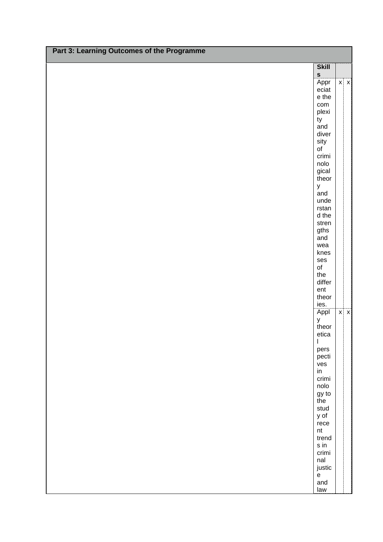| Part 3: Learning Outcomes of the Programme |                                   |            |
|--------------------------------------------|-----------------------------------|------------|
|                                            | <b>Skill</b><br>S                 |            |
|                                            | Appr                              | $x \mid x$ |
|                                            | eciat<br>e the                    |            |
|                                            | com                               |            |
|                                            | plexi                             |            |
|                                            | ty                                |            |
|                                            | and                               |            |
|                                            | diver<br>sity                     |            |
|                                            | of                                |            |
|                                            | crimi                             |            |
|                                            | nolo                              |            |
|                                            | gical                             |            |
|                                            | theor                             |            |
|                                            | y<br>and                          |            |
|                                            | unde                              |            |
|                                            | rstan                             |            |
|                                            | d the                             |            |
|                                            | stren                             |            |
|                                            | gths                              |            |
|                                            | and                               |            |
|                                            | wea<br>knes                       |            |
|                                            | ses                               |            |
|                                            | o <sub>f</sub>                    |            |
|                                            | the                               |            |
|                                            | differ                            |            |
|                                            | ent<br>theor                      |            |
|                                            | ies.                              |            |
|                                            | Appl                              | $x \mid x$ |
|                                            | y                                 |            |
|                                            | theor                             |            |
|                                            | etica                             |            |
|                                            | $\mathsf{I}$                      |            |
|                                            | pers<br>pecti                     |            |
|                                            | ves                               |            |
|                                            | in                                |            |
|                                            | crimi                             |            |
|                                            | nolo                              |            |
|                                            | gy to<br>the                      |            |
|                                            | stud                              |            |
|                                            | y of                              |            |
|                                            | $r$ ece                           |            |
|                                            | nt                                |            |
|                                            | trend                             |            |
|                                            | s in<br>crimi                     |            |
|                                            | nal                               |            |
|                                            | justic                            |            |
|                                            | $\mathsf{e}% _{t}\left( t\right)$ |            |
|                                            | and                               |            |
|                                            | law                               |            |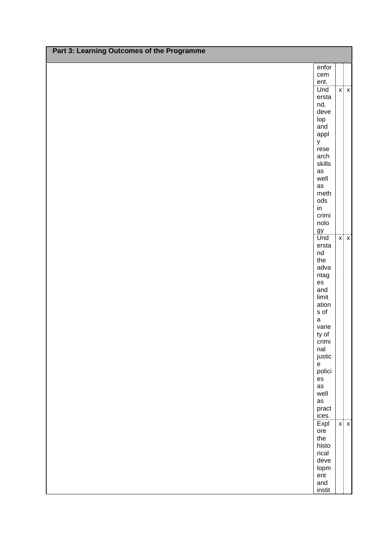| Part 3: Learning Outcomes of the Programme |                                   |            |
|--------------------------------------------|-----------------------------------|------------|
|                                            | enfor                             |            |
|                                            | cem                               |            |
|                                            | ent.<br>Und                       | $x \mid x$ |
|                                            | ersta                             |            |
|                                            | nd,                               |            |
|                                            | deve                              |            |
|                                            | lop                               |            |
|                                            | and                               |            |
|                                            | appl                              |            |
|                                            | y                                 |            |
|                                            | rese<br>arch                      |            |
|                                            | skills                            |            |
|                                            | as                                |            |
|                                            | well                              |            |
|                                            | $\operatorname{\sf as}$           |            |
|                                            | meth                              |            |
|                                            | $\mathsf{ods}$                    |            |
|                                            | $\mathsf{in}$<br>crimi            |            |
|                                            | nolo                              |            |
|                                            | gy                                |            |
|                                            | Und                               | $x \mid x$ |
|                                            | ersta                             |            |
|                                            | $\operatorname{\mathsf{nd}}$      |            |
|                                            | the                               |            |
|                                            | adva                              |            |
|                                            | ntag<br>es                        |            |
|                                            | and                               |            |
|                                            | limit                             |            |
|                                            | ation                             |            |
|                                            | $\sf s$ of                        |            |
|                                            | $\mathsf a$<br>varie              |            |
|                                            | ty of                             |            |
|                                            | crimi                             |            |
|                                            | nal                               |            |
|                                            | justic                            |            |
|                                            | $\mathsf{e}% _{t}\left( t\right)$ |            |
|                                            | polici                            |            |
|                                            | $\mathop{\mathsf{es}}$<br>as      |            |
|                                            | well                              |            |
|                                            | as                                |            |
|                                            | pract                             |            |
|                                            | ices.                             |            |
|                                            | Expl                              | $x \mid x$ |
|                                            | ore<br>the                        |            |
|                                            | histo                             |            |
|                                            | rical                             |            |
|                                            | deve                              |            |
|                                            | lopm                              |            |
|                                            | ent                               |            |
|                                            | and                               |            |
|                                            | instit                            |            |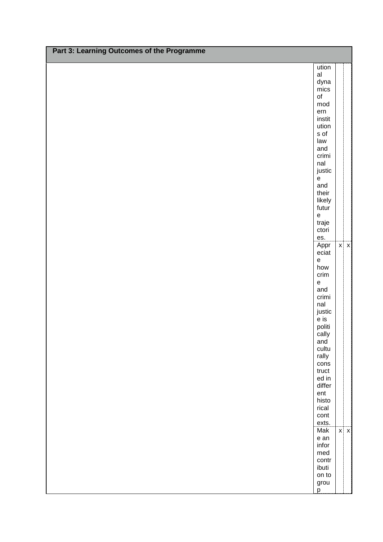| Part 3: Learning Outcomes of the Programme |                                          |            |
|--------------------------------------------|------------------------------------------|------------|
|                                            | ution                                    |            |
|                                            | al                                       |            |
|                                            | dyna                                     |            |
|                                            | mics                                     |            |
|                                            | $\mathsf{of}$<br>mod                     |            |
|                                            | ern                                      |            |
|                                            | instit                                   |            |
|                                            | ution                                    |            |
|                                            | $\sf s$ of                               |            |
|                                            | law<br>and                               |            |
|                                            | crimi                                    |            |
|                                            | nal                                      |            |
|                                            | justic                                   |            |
|                                            | $\mathsf{e}% _{t}\left( t\right)$        |            |
|                                            | and<br>their                             |            |
|                                            | likely                                   |            |
|                                            | futur                                    |            |
|                                            | $\mathsf{e}% _{t}\left( t\right)$        |            |
|                                            | traje                                    |            |
|                                            | ctori                                    |            |
|                                            | es.<br>Appr                              | $x \mid x$ |
|                                            | eciat                                    |            |
|                                            | $\mathsf{e}% _{t}\left( t\right)$        |            |
|                                            | how                                      |            |
|                                            | crim                                     |            |
|                                            | $\mathsf{e}% _{t}\left( t\right)$<br>and |            |
|                                            | crimi                                    |            |
|                                            | nal                                      |            |
|                                            | justic                                   |            |
|                                            | e is                                     |            |
|                                            | politi<br>cally                          |            |
|                                            | and                                      |            |
|                                            | cultu                                    |            |
|                                            | rally                                    |            |
|                                            | cons<br>truct                            |            |
|                                            | ed in                                    |            |
|                                            | differ                                   |            |
|                                            | ent                                      |            |
|                                            | histo                                    |            |
|                                            | rical<br>cont                            |            |
|                                            | exts.                                    |            |
|                                            | Mak                                      | $x \mid x$ |
|                                            | e an                                     |            |
|                                            | infor                                    |            |
|                                            | med<br>contr                             |            |
|                                            | ibuti                                    |            |
|                                            | on to                                    |            |
|                                            | grou                                     |            |
|                                            | p                                        |            |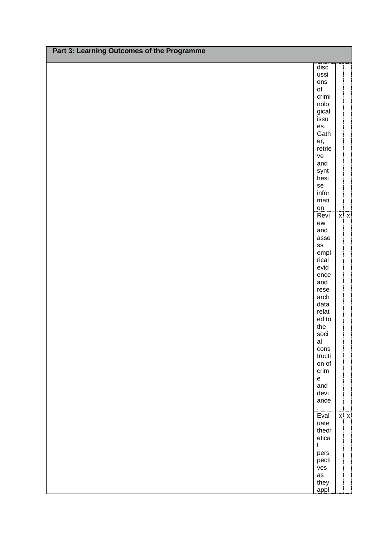| Part 3: Learning Outcomes of the Programme |                                   |            |
|--------------------------------------------|-----------------------------------|------------|
|                                            | $\operatorname{\sf disc}$         |            |
|                                            | ussi                              |            |
|                                            | ons<br>$\circ$ f                  |            |
|                                            | crimi                             |            |
|                                            | nolo                              |            |
|                                            | gical<br>issu                     |            |
|                                            | es.                               |            |
|                                            | Gath                              |            |
|                                            | er,<br>retrie                     |            |
|                                            | ve                                |            |
|                                            | and                               |            |
|                                            | synt<br>hesi                      |            |
|                                            | se                                |            |
|                                            | infor                             |            |
|                                            | mati<br>on                        |            |
|                                            | Revi                              | $x \mid x$ |
|                                            | ${\sf ew}$                        |            |
|                                            | and<br>asse                       |            |
|                                            | SS                                |            |
|                                            | empi<br>rical                     |            |
|                                            | evid                              |            |
|                                            | ence                              |            |
|                                            | and<br>rese                       |            |
|                                            | arch                              |            |
|                                            | data                              |            |
|                                            | relat<br>ed to                    |            |
|                                            | the                               |            |
|                                            | soci<br>al                        |            |
|                                            | cons                              |            |
|                                            | tructi                            |            |
|                                            | on of<br>crim                     |            |
|                                            | $\mathsf{e}% _{t}\left( t\right)$ |            |
|                                            | and                               |            |
|                                            | devi<br>ance                      |            |
|                                            | $\blacksquare$                    |            |
|                                            | Eval                              | $x \mid x$ |
|                                            | uate<br>theor                     |            |
|                                            | etica                             |            |
|                                            | $\overline{\phantom{a}}$          |            |
|                                            | pers<br>pecti                     |            |
|                                            | ves                               |            |
|                                            | as<br>they                        |            |
|                                            | appl                              |            |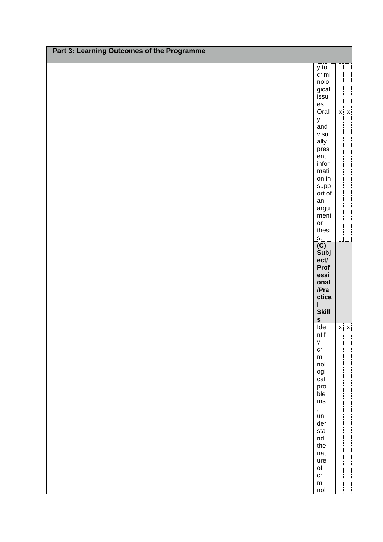| Part 3: Learning Outcomes of the Programme |                                                                                                                                                                                                                                                              |  |            |
|--------------------------------------------|--------------------------------------------------------------------------------------------------------------------------------------------------------------------------------------------------------------------------------------------------------------|--|------------|
|                                            | y to<br>crimi<br>nolo<br>gical<br>issu<br>es.<br>Orall<br>$\mathsf{y}$<br>and<br>visu<br>ally<br>pres<br>ent<br>infor<br>mati<br>on in                                                                                                                       |  | $x \mid x$ |
|                                            | supp<br>ort of<br>an<br>argu<br>ment<br>or<br>thesi<br>s.<br>(C)<br>Subj<br>ect/<br>Prof<br>essi<br>onal<br>/Pra<br>ctica<br>$\pmb{\mathsf{I}}$<br><b>Skill</b>                                                                                              |  |            |
|                                            | $\mathbf{s}$<br>$\overline{\text{Ide}}$<br>ntif<br>y<br>cri<br>$\mathsf{mi}$<br>nol<br>ogi<br>$c\bar{a}$<br>pro<br>ble<br>$\mathsf{ms}$<br>$\bar{\mathbf{r}}$<br>un<br>der<br>sta<br>nd<br>the<br>nat<br>ure<br>$\mathsf{of}$<br>cri<br>$\mathsf{mi}$<br>nol |  | $x \mid x$ |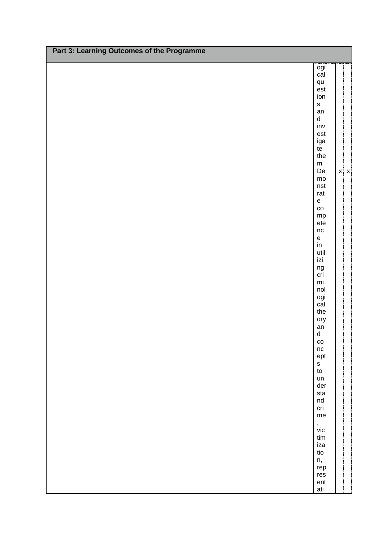| Part 3: Learning Outcomes of the Programme |                                                                                                                                                                                                                                                                                                                                                                                                                                                                                                                                                                                                                |            |
|--------------------------------------------|----------------------------------------------------------------------------------------------------------------------------------------------------------------------------------------------------------------------------------------------------------------------------------------------------------------------------------------------------------------------------------------------------------------------------------------------------------------------------------------------------------------------------------------------------------------------------------------------------------------|------------|
|                                            | ogi<br>cal<br>qu<br>est<br>ion<br>$\mathsf{s}$<br>an<br>$\operatorname{\mathsf{d}}$<br>$\mathsf{inv}$<br>est<br>iga<br>te<br>the<br>${\sf m}$<br>De<br>$\mathsf{mo}$<br>nst<br>rat<br>${\bf e}$<br>$_{\rm CO}$<br>${\sf mp}$<br>$e$ te<br>nc<br>$\mathsf{e}% _{t}\left( t\right) \equiv\mathsf{e}_{t}\left( t\right) \equiv\mathsf{e}_{t}\left( t\right)$<br>$\mathsf{in}$<br>util<br>izi<br>ng<br>cri<br>mi<br>nol<br>ogi<br>cal<br>the<br>ory<br>an<br>$\sf d$<br>$\rm{co}$<br>$\sf nc$<br>ept<br>$\sf{s}$<br>${\sf to}$<br>un<br>der<br>sta<br>$\operatorname{\mathsf{nd}}$<br>cri<br>me<br>,<br>vic<br>tim | $x \mid x$ |
|                                            | iza<br>tio<br>n,<br>rep<br>res<br>ent<br>ati                                                                                                                                                                                                                                                                                                                                                                                                                                                                                                                                                                   |            |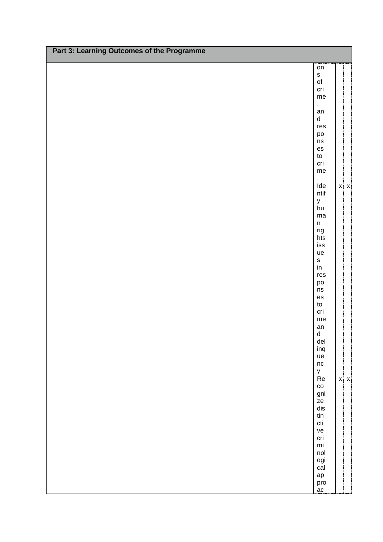| Part 3: Learning Outcomes of the Programme |                                                                                                                                                                                                                                   |            |
|--------------------------------------------|-----------------------------------------------------------------------------------------------------------------------------------------------------------------------------------------------------------------------------------|------------|
|                                            | on<br>$\mathsf{s}$<br>$\mathsf{of}$<br>cri<br>me                                                                                                                                                                                  |            |
|                                            | ,<br>an<br>$\operatorname{\mathsf{d}}$<br>res<br>po<br>ns<br>es<br>$\mathsf{to}$<br>cri<br>me<br>$\mathbf{r}$                                                                                                                     |            |
|                                            | $\overline{\text{Ide}}$<br>ntif<br>y<br>hu<br>$_{\rm ma}$<br>$\sf n$<br>rig<br>hts<br>is s<br>ue<br>$\sf{s}$<br>$\mathsf{in}$<br>res<br>po<br>ns<br>es<br>$\mathsf{to}$<br>cri<br>me<br>an<br>${\sf d}$<br>del<br>inq<br>ue<br>nc | $x \mid x$ |
|                                            | $\frac{y}{Re}$<br>$_{\rm co}$<br>gni<br>ze<br>dis<br>$\ensuremath{\mathsf{tin}}$<br>$\operatorname{\mathsf{cti}}$<br>ve<br>cri<br>$\mathsf{mi}$<br>nol<br>ogi<br>$c\bar{a}$<br>ap<br>pro<br>ac                                    | $x \mid x$ |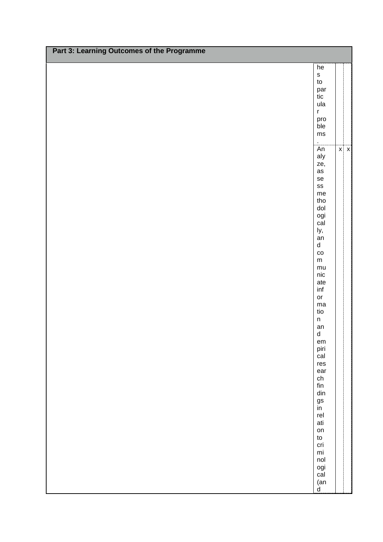| Part 3: Learning Outcomes of the Programme |                                                                                                                                                                                                                                                                                                                                                                                                                                                                                                                                                                                   |            |
|--------------------------------------------|-----------------------------------------------------------------------------------------------------------------------------------------------------------------------------------------------------------------------------------------------------------------------------------------------------------------------------------------------------------------------------------------------------------------------------------------------------------------------------------------------------------------------------------------------------------------------------------|------------|
|                                            | he<br>$\mathbf S$<br>$\mathsf{to}$<br>par<br>tic<br>ula<br>$\bar{\mathbf{r}}$<br>pro<br>ble<br>$\mathsf{ms}$                                                                                                                                                                                                                                                                                                                                                                                                                                                                      |            |
|                                            | $\epsilon$<br>$\overline{An}$<br>aly<br>ze,<br>as<br>se<br>$\texttt{SS}$<br>${\sf me}$<br>tho<br>$\mathsf{d}\mathsf{o}\mathsf{l}$<br>ogi<br>cal<br>ly,<br>an<br>$\sf d$<br>$\rm{co}$<br>${\sf m}$<br>${\sf mu}$<br>$\mathsf{nic}$<br>ate<br>inf<br>or<br>$_{\rm ma}$<br>tio<br>$\sf n$<br>an<br>$\sf d$<br>$\mathsf{em}$<br>piri<br>cal<br>res<br>ear<br>${\sf ch}$<br>$\operatorname{\sf fin}$<br>$\hbox{\rm\bf dim}$<br>gs<br>in<br>rel<br>ati<br>on<br>${\sf to}$<br>cri<br>$\mathsf{mi}$<br>nol<br>ogi<br>cal<br>$\begin{array}{c} \n\text{(an)} \\ \n\text{d} \n\end{array}$ | $x \mid x$ |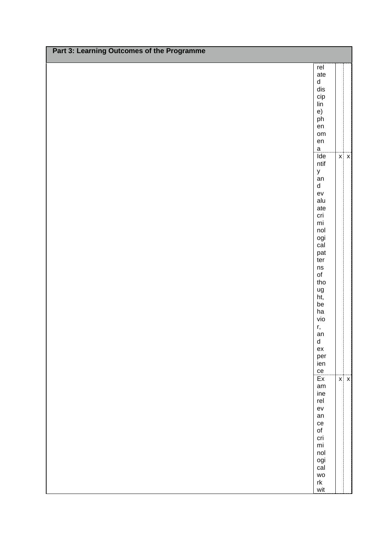| rel<br>ate<br>d<br>dis<br>cip<br>lin<br>e)<br>ph<br>en<br>om<br>${\sf en}$<br>$\overline{a}$<br>Ide<br>$x \mid x$<br>$n$ tif<br>y<br>an<br>$\sf d$<br>ev<br>alu<br>ate<br>cri<br>$\mathsf{mi}$<br>nol<br>ogi<br>cal<br>pat<br>ter<br>$\operatorname{\sf ns}$<br>$\mathsf{of}$<br>tho<br>ug<br>ht,<br>be<br>ha<br>vio<br>r,<br>an<br>$\sf d$<br>ex<br>per<br>ien<br>ce<br>$\overline{Ex}$<br>$x \mid x$<br>am<br>ine<br>rel<br>ev<br>an<br>ce | Part 3: Learning Outcomes of the Programme |  |
|----------------------------------------------------------------------------------------------------------------------------------------------------------------------------------------------------------------------------------------------------------------------------------------------------------------------------------------------------------------------------------------------------------------------------------------------|--------------------------------------------|--|
|                                                                                                                                                                                                                                                                                                                                                                                                                                              |                                            |  |
|                                                                                                                                                                                                                                                                                                                                                                                                                                              |                                            |  |
|                                                                                                                                                                                                                                                                                                                                                                                                                                              |                                            |  |
|                                                                                                                                                                                                                                                                                                                                                                                                                                              |                                            |  |
|                                                                                                                                                                                                                                                                                                                                                                                                                                              |                                            |  |
|                                                                                                                                                                                                                                                                                                                                                                                                                                              |                                            |  |
|                                                                                                                                                                                                                                                                                                                                                                                                                                              |                                            |  |
|                                                                                                                                                                                                                                                                                                                                                                                                                                              |                                            |  |
|                                                                                                                                                                                                                                                                                                                                                                                                                                              |                                            |  |
|                                                                                                                                                                                                                                                                                                                                                                                                                                              |                                            |  |
|                                                                                                                                                                                                                                                                                                                                                                                                                                              |                                            |  |
|                                                                                                                                                                                                                                                                                                                                                                                                                                              |                                            |  |
|                                                                                                                                                                                                                                                                                                                                                                                                                                              |                                            |  |
|                                                                                                                                                                                                                                                                                                                                                                                                                                              |                                            |  |
|                                                                                                                                                                                                                                                                                                                                                                                                                                              |                                            |  |
|                                                                                                                                                                                                                                                                                                                                                                                                                                              |                                            |  |
|                                                                                                                                                                                                                                                                                                                                                                                                                                              |                                            |  |
|                                                                                                                                                                                                                                                                                                                                                                                                                                              |                                            |  |
|                                                                                                                                                                                                                                                                                                                                                                                                                                              |                                            |  |
|                                                                                                                                                                                                                                                                                                                                                                                                                                              |                                            |  |
|                                                                                                                                                                                                                                                                                                                                                                                                                                              |                                            |  |
|                                                                                                                                                                                                                                                                                                                                                                                                                                              |                                            |  |
|                                                                                                                                                                                                                                                                                                                                                                                                                                              |                                            |  |
|                                                                                                                                                                                                                                                                                                                                                                                                                                              |                                            |  |
|                                                                                                                                                                                                                                                                                                                                                                                                                                              |                                            |  |
|                                                                                                                                                                                                                                                                                                                                                                                                                                              |                                            |  |
|                                                                                                                                                                                                                                                                                                                                                                                                                                              |                                            |  |
|                                                                                                                                                                                                                                                                                                                                                                                                                                              |                                            |  |
|                                                                                                                                                                                                                                                                                                                                                                                                                                              |                                            |  |
|                                                                                                                                                                                                                                                                                                                                                                                                                                              |                                            |  |
|                                                                                                                                                                                                                                                                                                                                                                                                                                              |                                            |  |
|                                                                                                                                                                                                                                                                                                                                                                                                                                              |                                            |  |
|                                                                                                                                                                                                                                                                                                                                                                                                                                              |                                            |  |
|                                                                                                                                                                                                                                                                                                                                                                                                                                              |                                            |  |
|                                                                                                                                                                                                                                                                                                                                                                                                                                              |                                            |  |
|                                                                                                                                                                                                                                                                                                                                                                                                                                              |                                            |  |
|                                                                                                                                                                                                                                                                                                                                                                                                                                              |                                            |  |
|                                                                                                                                                                                                                                                                                                                                                                                                                                              |                                            |  |
|                                                                                                                                                                                                                                                                                                                                                                                                                                              |                                            |  |
|                                                                                                                                                                                                                                                                                                                                                                                                                                              |                                            |  |
|                                                                                                                                                                                                                                                                                                                                                                                                                                              |                                            |  |
|                                                                                                                                                                                                                                                                                                                                                                                                                                              |                                            |  |
|                                                                                                                                                                                                                                                                                                                                                                                                                                              |                                            |  |
|                                                                                                                                                                                                                                                                                                                                                                                                                                              |                                            |  |
|                                                                                                                                                                                                                                                                                                                                                                                                                                              |                                            |  |
| $\mathsf{of}$                                                                                                                                                                                                                                                                                                                                                                                                                                |                                            |  |
| cri                                                                                                                                                                                                                                                                                                                                                                                                                                          |                                            |  |
| $\mathsf{mi}$                                                                                                                                                                                                                                                                                                                                                                                                                                |                                            |  |
| nol                                                                                                                                                                                                                                                                                                                                                                                                                                          |                                            |  |
| ogi                                                                                                                                                                                                                                                                                                                                                                                                                                          |                                            |  |
| $c\bar{a}$                                                                                                                                                                                                                                                                                                                                                                                                                                   |                                            |  |
| wo<br>$\ensuremath{\mathsf{rk}}$                                                                                                                                                                                                                                                                                                                                                                                                             |                                            |  |
| wit                                                                                                                                                                                                                                                                                                                                                                                                                                          |                                            |  |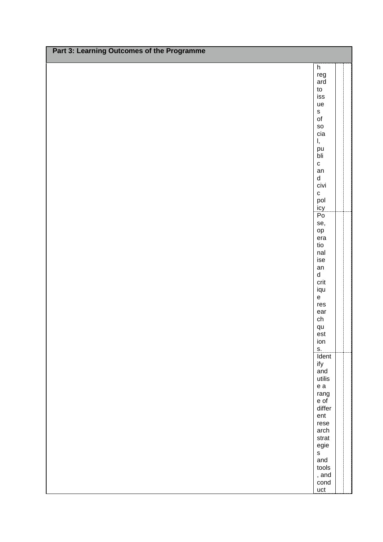| Part 3: Learning Outcomes of the Programme |                                                           |  |
|--------------------------------------------|-----------------------------------------------------------|--|
|                                            |                                                           |  |
|                                            | h<br>reg<br>ard<br>$\mathsf{to}$                          |  |
|                                            | iss<br>ue                                                 |  |
|                                            | s<br>of<br>SO<br>cia                                      |  |
|                                            | Ι,<br>pu<br>$b$ li<br>$\mathbf{C}$                        |  |
|                                            | an<br>$\operatorname{\mathsf{d}}$<br>civi<br>$\mathbf{C}$ |  |
|                                            | pol<br>icy<br>Po                                          |  |
|                                            | se,<br>$\mathsf{op}$<br>era<br>tio                        |  |
|                                            | nal<br>ise<br>an<br>$\operatorname{\mathsf{d}}$           |  |
|                                            | crit<br>iqu<br>$\mathsf{e}% _{t}\left( t\right)$<br>res   |  |
|                                            | ear<br>ch<br>qu<br>est                                    |  |
|                                            | ion<br>s.<br>Ident                                        |  |
|                                            | ify<br>and<br>utilis                                      |  |
|                                            | ${\bf e}$ a<br>rang<br>e of<br>differ                     |  |
|                                            | ent<br>rese<br>arch                                       |  |
|                                            | strat<br>egie<br>$\mathsf{s}$<br>and                      |  |
|                                            | tools<br>, and<br>cond<br>uct                             |  |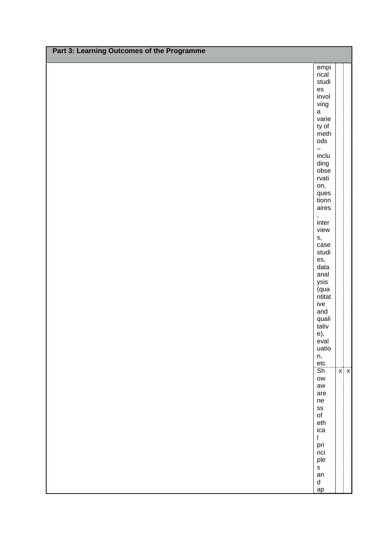| Part 3: Learning Outcomes of the Programme |                                   |            |
|--------------------------------------------|-----------------------------------|------------|
|                                            | empi                              |            |
|                                            | rical                             |            |
|                                            | studi<br>es                       |            |
|                                            | invol                             |            |
|                                            | ving                              |            |
|                                            | $\mathsf a$                       |            |
|                                            | varie                             |            |
|                                            | ty of<br>meth                     |            |
|                                            | $\mathsf{ods}$                    |            |
|                                            | $\overline{\phantom{0}}$          |            |
|                                            | inclu<br>ding                     |            |
|                                            | obse                              |            |
|                                            | rvati                             |            |
|                                            | on,                               |            |
|                                            | ques<br>tionn                     |            |
|                                            | aires                             |            |
|                                            | ,<br>inter                        |            |
|                                            | view                              |            |
|                                            | s,                                |            |
|                                            | case                              |            |
|                                            | studi                             |            |
|                                            | es,<br>data                       |            |
|                                            | anal                              |            |
|                                            | ysis                              |            |
|                                            | qua<br>ntitat                     |            |
|                                            | ive                               |            |
|                                            | and                               |            |
|                                            | quali<br>tativ                    |            |
|                                            | e),                               |            |
|                                            | eval                              |            |
|                                            | uatio                             |            |
|                                            | n,<br>etc                         |            |
|                                            | $\overline{\mathsf{Sh}}$          | $x \mid x$ |
|                                            | $\mathsf{OW}$                     |            |
|                                            | aw<br>are                         |            |
|                                            | ne                                |            |
|                                            | ${\tt SS}$                        |            |
|                                            | $\mathsf{of}$                     |            |
|                                            | eth<br>ica                        |            |
|                                            | $\mathsf I$                       |            |
|                                            | pri                               |            |
|                                            | nci<br>ple                        |            |
|                                            | $\mathsf{s}$                      |            |
|                                            | an                                |            |
|                                            | $\operatorname{\mathsf{d}}$<br>ap |            |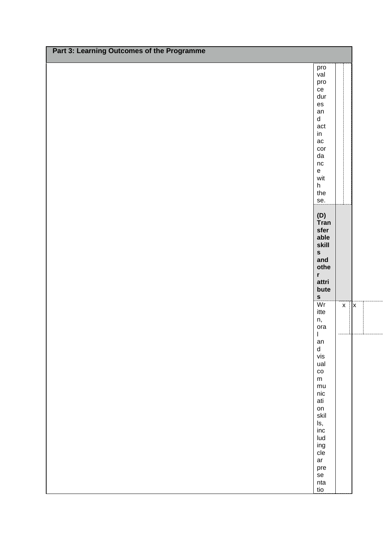| Part 3: Learning Outcomes of the Programme |                                                              |
|--------------------------------------------|--------------------------------------------------------------|
|                                            |                                                              |
|                                            | pro<br>val                                                   |
|                                            | pro                                                          |
|                                            | ce                                                           |
|                                            | dur                                                          |
|                                            | $\mathop{\mathsf{es}}$                                       |
|                                            | an<br>d                                                      |
|                                            | act                                                          |
|                                            | $\mathsf{in}$                                                |
|                                            | ac                                                           |
|                                            | cor                                                          |
|                                            | ${\sf da}$<br>$\sf nc$                                       |
|                                            | $\mathsf{e}% _{t}\left( t\right)$                            |
|                                            | wit                                                          |
|                                            | h                                                            |
|                                            | the                                                          |
|                                            | se.                                                          |
|                                            |                                                              |
|                                            | (D)<br>Tran                                                  |
|                                            | sfer                                                         |
|                                            | able                                                         |
|                                            | skill                                                        |
|                                            | s<br>and                                                     |
|                                            | othe                                                         |
|                                            | r                                                            |
|                                            | attri                                                        |
|                                            | bute<br>$\mathbf{s}$                                         |
|                                            | $\overline{\text{Wr}}$<br>$\mathsf{x}$<br>$\pmb{\mathsf{x}}$ |
|                                            | itte                                                         |
|                                            | n,                                                           |
|                                            | ora                                                          |
|                                            | $\mathbf{I}$<br>an                                           |
|                                            | $\sf d$                                                      |
|                                            | vis                                                          |
|                                            | ual                                                          |
|                                            | $\rm{co}$<br>${\sf m}$                                       |
|                                            | mu                                                           |
|                                            | $\mathop{\sf nic}\nolimits$                                  |
|                                            | ati                                                          |
|                                            | on                                                           |
|                                            | skil                                                         |
|                                            | ls,<br>$\mathsf{inc}$                                        |
|                                            | Iud                                                          |
|                                            | ing<br>cle                                                   |
|                                            |                                                              |
|                                            | ar                                                           |
|                                            | pre<br>se                                                    |
|                                            | nta                                                          |
|                                            | tio                                                          |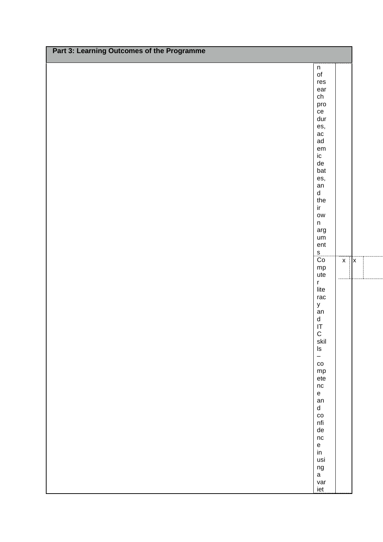| Part 3: Learning Outcomes of the Programme |                                           |  |
|--------------------------------------------|-------------------------------------------|--|
|                                            |                                           |  |
|                                            | $\mathsf n$                               |  |
|                                            | $\mathsf{of}$<br>res                      |  |
|                                            | ear                                       |  |
|                                            | ${\sf ch}$                                |  |
|                                            | pro<br>ce                                 |  |
|                                            | dur                                       |  |
|                                            | es,                                       |  |
|                                            | $\rm ac$                                  |  |
|                                            | ad<br>$\mathsf{em}$                       |  |
|                                            | $\sf ic$                                  |  |
|                                            | ${\sf de}$                                |  |
|                                            | bat                                       |  |
|                                            | es,<br>an                                 |  |
|                                            | ${\sf d}$                                 |  |
|                                            | the                                       |  |
|                                            | $\operatorname{\sf ir}$                   |  |
|                                            | $\mathsf{OW}$<br>$\sf n$                  |  |
|                                            | arg                                       |  |
|                                            | um                                        |  |
|                                            | ent<br>$\mathsf{s}$                       |  |
|                                            | Co<br>$\pmb{\mathsf{x}}$<br><b>x</b>      |  |
|                                            | mp                                        |  |
|                                            | ute                                       |  |
|                                            | $\mathsf{r}$<br>lite                      |  |
|                                            | rac                                       |  |
|                                            | $\mathsf{y}$                              |  |
|                                            | an<br>${\sf d}$                           |  |
|                                            |                                           |  |
|                                            | $\frac{\mathsf{I}\mathsf{T}}{\mathsf{C}}$ |  |
|                                            | skil                                      |  |
|                                            | $\sf ls$<br>$\qquad \qquad -$             |  |
|                                            | $\rm{CO}$                                 |  |
|                                            | mp                                        |  |
|                                            | $e$ te                                    |  |
|                                            | nc<br>$\mathsf{e}% _{t}\left( t\right)$   |  |
|                                            | an                                        |  |
|                                            | $\sf d$                                   |  |
|                                            | $_{\rm CO}$                               |  |
|                                            | $\mathsf{nfi}$<br>${\sf de}$              |  |
|                                            | nc                                        |  |
|                                            | $\mathbf{e}% _{t}\left( t\right)$         |  |
|                                            | $\mathop{\sf in}\nolimits$<br>usi         |  |
|                                            | $ng$                                      |  |
|                                            | $\mathsf a$                               |  |
|                                            | var                                       |  |
|                                            | iet                                       |  |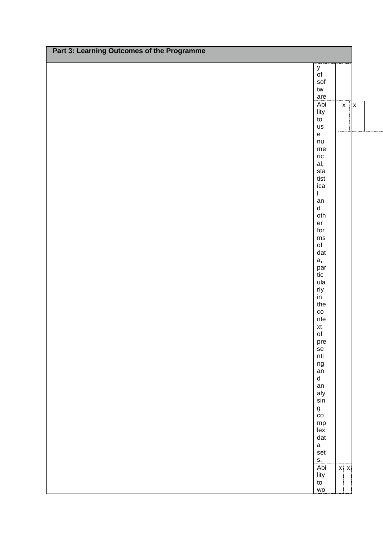| Part 3: Learning Outcomes of the Programme |                                                  |                 |
|--------------------------------------------|--------------------------------------------------|-----------------|
|                                            |                                                  |                 |
|                                            | y<br>of                                          |                 |
|                                            | $\operatorname{\mathsf{sof}}$                    |                 |
|                                            | ${\sf tw}$                                       |                 |
|                                            | are                                              |                 |
|                                            | Abi<br>$\mathsf X$                               | $\vert x \vert$ |
|                                            | lity                                             |                 |
|                                            | to                                               |                 |
|                                            | us<br>$\mathsf{e}% _{t}\left( \mathsf{e}\right)$ |                 |
|                                            | nu                                               |                 |
|                                            | $\mathsf{me}\xspace$                             |                 |
|                                            | $\operatorname{\sf ric}$                         |                 |
|                                            | al,                                              |                 |
|                                            | sta                                              |                 |
|                                            | tist                                             |                 |
|                                            | ica<br>$\mathbf{I}$                              |                 |
|                                            | an                                               |                 |
|                                            | $\sf d$                                          |                 |
|                                            | oth                                              |                 |
|                                            | er                                               |                 |
|                                            | for                                              |                 |
|                                            | $\mathsf{ms}$                                    |                 |
|                                            | $\mathsf{of}$                                    |                 |
|                                            | dat<br>а,                                        |                 |
|                                            |                                                  |                 |
|                                            | par<br>tic                                       |                 |
|                                            | ula                                              |                 |
|                                            | rly                                              |                 |
|                                            | in                                               |                 |
|                                            | the                                              |                 |
|                                            | $_{\rm CO}$<br>nte                               |                 |
|                                            |                                                  |                 |
|                                            | xt<br>of                                         |                 |
|                                            | pre                                              |                 |
|                                            | se<br>nti                                        |                 |
|                                            |                                                  |                 |
|                                            | ng<br>an<br>d                                    |                 |
|                                            |                                                  |                 |
|                                            | an                                               |                 |
|                                            | aly                                              |                 |
|                                            | sin                                              |                 |
|                                            | g<br>co                                          |                 |
|                                            |                                                  |                 |
|                                            | $mp$<br>lex                                      |                 |
|                                            |                                                  |                 |
|                                            | dat<br>$\mathsf a$                               |                 |
|                                            | set                                              |                 |
|                                            | $S_{\cdot}$                                      |                 |
|                                            | Abi<br>$x \mid x$                                |                 |
|                                            | lity                                             |                 |
|                                            | to                                               |                 |
|                                            | wo                                               |                 |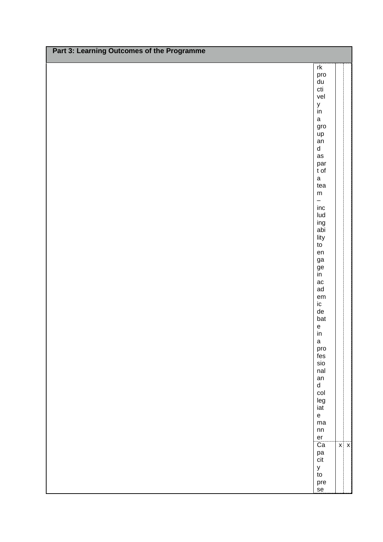| Part 3: Learning Outcomes of the Programme |                                            |  |  |  |  |  |  |
|--------------------------------------------|--------------------------------------------|--|--|--|--|--|--|
|                                            | rk                                         |  |  |  |  |  |  |
|                                            | pro<br>du<br>$\operatorname{\mathsf{cti}}$ |  |  |  |  |  |  |
|                                            | vel<br>$\mathsf y$                         |  |  |  |  |  |  |
|                                            | $\mathsf{in}$<br>$\mathsf a$               |  |  |  |  |  |  |
|                                            | gro<br>up                                  |  |  |  |  |  |  |
|                                            | an<br>$\sf d$                              |  |  |  |  |  |  |
|                                            | as                                         |  |  |  |  |  |  |
|                                            | par<br>t of                                |  |  |  |  |  |  |
|                                            | $\mathsf a$<br>tea                         |  |  |  |  |  |  |
|                                            | ${\sf m}$<br>$\overline{\phantom{0}}$      |  |  |  |  |  |  |
|                                            | inc<br>Iud                                 |  |  |  |  |  |  |
|                                            | ing<br>abi                                 |  |  |  |  |  |  |
|                                            | lity<br>$\mathsf{to}$                      |  |  |  |  |  |  |
|                                            | en<br>ga                                   |  |  |  |  |  |  |
|                                            | $\frac{1}{2}$                              |  |  |  |  |  |  |
|                                            | ac<br>ad                                   |  |  |  |  |  |  |
|                                            | $\mathsf{em}$<br>$\sf ic$                  |  |  |  |  |  |  |
|                                            | ${\sf de}$                                 |  |  |  |  |  |  |
|                                            | bat<br>$\mathsf{e}% _{t}\left( t\right)$   |  |  |  |  |  |  |
|                                            | $\mathsf{in}$<br>$\mathsf a$               |  |  |  |  |  |  |
|                                            | pro<br>$\,\rm{fes}$                        |  |  |  |  |  |  |
|                                            | $\rm \text{s}$<br>nal                      |  |  |  |  |  |  |
|                                            | an<br>$\sf d$                              |  |  |  |  |  |  |
|                                            | col<br>leg                                 |  |  |  |  |  |  |
|                                            | iat<br>$\mathsf{e}% _{t}\left( t\right)$   |  |  |  |  |  |  |
|                                            | ma<br>${\sf nn}$                           |  |  |  |  |  |  |
|                                            | er<br>Ca<br>$x \mid x$                     |  |  |  |  |  |  |
|                                            | pa<br>cit                                  |  |  |  |  |  |  |
|                                            | $\mathsf{y}$<br>$\mathsf{to}$              |  |  |  |  |  |  |
| se                                         | pre                                        |  |  |  |  |  |  |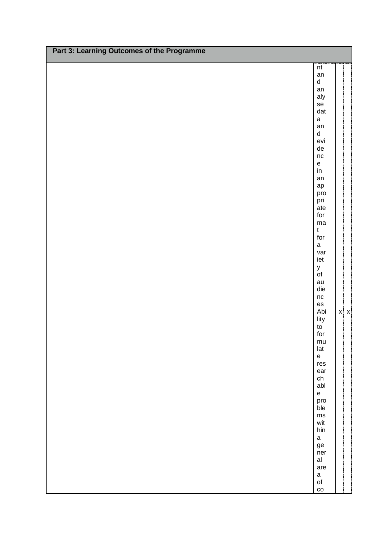| Part 3: Learning Outcomes of the Programme |                                          |            |  |  |  |  |  |
|--------------------------------------------|------------------------------------------|------------|--|--|--|--|--|
|                                            | $\sf nt$                                 |            |  |  |  |  |  |
|                                            | an                                       |            |  |  |  |  |  |
|                                            | $\operatorname{\mathsf{d}}$              |            |  |  |  |  |  |
|                                            | an<br>aly                                |            |  |  |  |  |  |
|                                            | $\mathsf{se}$                            |            |  |  |  |  |  |
|                                            | dat                                      |            |  |  |  |  |  |
|                                            | $\mathsf a$                              |            |  |  |  |  |  |
|                                            | an<br>$\operatorname{\mathsf{d}}$        |            |  |  |  |  |  |
|                                            | evi                                      |            |  |  |  |  |  |
|                                            | ${\sf de}$                               |            |  |  |  |  |  |
|                                            | nc<br>$\mathsf{e}% _{t}\left( t\right)$  |            |  |  |  |  |  |
|                                            | $\mathsf{in}$                            |            |  |  |  |  |  |
|                                            | an                                       |            |  |  |  |  |  |
|                                            | $\mathsf{ap}$                            |            |  |  |  |  |  |
|                                            | pro<br>pri                               |            |  |  |  |  |  |
|                                            | ate                                      |            |  |  |  |  |  |
|                                            | for                                      |            |  |  |  |  |  |
|                                            | ma<br>$\mathfrak t$                      |            |  |  |  |  |  |
|                                            | for                                      |            |  |  |  |  |  |
|                                            | $\mathsf a$                              |            |  |  |  |  |  |
|                                            | var<br>iet                               |            |  |  |  |  |  |
|                                            |                                          |            |  |  |  |  |  |
|                                            | y<br>of                                  |            |  |  |  |  |  |
|                                            | au<br>die                                |            |  |  |  |  |  |
|                                            | $\sf nc$                                 |            |  |  |  |  |  |
|                                            | es                                       |            |  |  |  |  |  |
|                                            | Abi                                      | $x \mid x$ |  |  |  |  |  |
|                                            | lity<br>$\mathsf{to}$                    |            |  |  |  |  |  |
|                                            | for                                      |            |  |  |  |  |  |
|                                            | $mu$                                     |            |  |  |  |  |  |
|                                            | lat<br>$\mathsf{e}% _{t}\left( t\right)$ |            |  |  |  |  |  |
|                                            | res                                      |            |  |  |  |  |  |
|                                            | ear                                      |            |  |  |  |  |  |
|                                            | ch<br>abl                                |            |  |  |  |  |  |
|                                            | $\mathsf{e}% _{t}\left( t\right)$        |            |  |  |  |  |  |
|                                            | pro                                      |            |  |  |  |  |  |
|                                            | ble                                      |            |  |  |  |  |  |
|                                            | $\mathsf{ms}$<br>wit                     |            |  |  |  |  |  |
|                                            | hin                                      |            |  |  |  |  |  |
|                                            | $\mathsf a$                              |            |  |  |  |  |  |
|                                            | ${\tt ge}$<br>ner                        |            |  |  |  |  |  |
|                                            | al                                       |            |  |  |  |  |  |
|                                            | are                                      |            |  |  |  |  |  |
|                                            | $\mathsf a$<br>$\circ$ f                 |            |  |  |  |  |  |
|                                            | $\mathsf{co}$                            |            |  |  |  |  |  |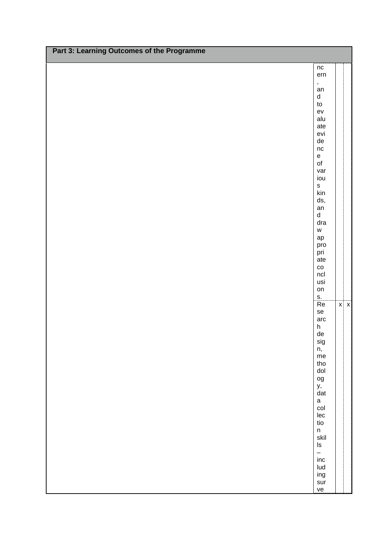| Part 3: Learning Outcomes of the Programme |                                                                       |            |  |  |  |  |  |
|--------------------------------------------|-----------------------------------------------------------------------|------------|--|--|--|--|--|
|                                            | $\sf nc$                                                              |            |  |  |  |  |  |
|                                            | ern                                                                   |            |  |  |  |  |  |
|                                            | $\pmb{\cdot}$<br>an                                                   |            |  |  |  |  |  |
|                                            | $\operatorname{\mathsf{d}}$                                           |            |  |  |  |  |  |
|                                            | ${\sf to}$<br>${\sf ev}$                                              |            |  |  |  |  |  |
|                                            | alu                                                                   |            |  |  |  |  |  |
|                                            | ate                                                                   |            |  |  |  |  |  |
|                                            | evi<br>${\sf de}$                                                     |            |  |  |  |  |  |
|                                            | $\sf nc$                                                              |            |  |  |  |  |  |
|                                            | $\mathsf{e}% _{t}\left( t\right) \equiv\mathsf{e}_{t}\left( t\right)$ |            |  |  |  |  |  |
|                                            | $\mathsf{of}$<br>var                                                  |            |  |  |  |  |  |
|                                            | iou                                                                   |            |  |  |  |  |  |
|                                            | $\mathsf{s}$<br>kin                                                   |            |  |  |  |  |  |
|                                            | ds,                                                                   |            |  |  |  |  |  |
|                                            | an                                                                    |            |  |  |  |  |  |
|                                            | $\operatorname{\mathsf{d}}$<br>dra                                    |            |  |  |  |  |  |
|                                            | ${\mathsf W}$                                                         |            |  |  |  |  |  |
|                                            | $\mathsf{ap}$                                                         |            |  |  |  |  |  |
|                                            | pro<br>pri                                                            |            |  |  |  |  |  |
|                                            | ate                                                                   |            |  |  |  |  |  |
|                                            | $_{\rm CO}$                                                           |            |  |  |  |  |  |
|                                            | $\sf ncl$<br>usi                                                      |            |  |  |  |  |  |
|                                            | on                                                                    |            |  |  |  |  |  |
|                                            | ${\bf S}.$<br>Re                                                      | $x \mid x$ |  |  |  |  |  |
|                                            | ${\sf se}$                                                            |            |  |  |  |  |  |
|                                            | arc                                                                   |            |  |  |  |  |  |
|                                            | $\boldsymbol{\mathsf{h}}$<br>${\sf de}$                               |            |  |  |  |  |  |
|                                            | $\mathsf{sig}$                                                        |            |  |  |  |  |  |
|                                            | n,<br>$\mathsf{me}\xspace$                                            |            |  |  |  |  |  |
|                                            | tho                                                                   |            |  |  |  |  |  |
|                                            | dol                                                                   |            |  |  |  |  |  |
|                                            | $_{\rm og}$                                                           |            |  |  |  |  |  |
|                                            | y,<br>dat                                                             |            |  |  |  |  |  |
|                                            | $\mathsf a$                                                           |            |  |  |  |  |  |
|                                            | col<br>lec                                                            |            |  |  |  |  |  |
|                                            | tio                                                                   |            |  |  |  |  |  |
|                                            | $\sf n$<br>skil                                                       |            |  |  |  |  |  |
|                                            | $\sf ls$                                                              |            |  |  |  |  |  |
|                                            | $\qquad \qquad -$                                                     |            |  |  |  |  |  |
|                                            | $\mathsf{inc}$<br>lud                                                 |            |  |  |  |  |  |
|                                            | ing                                                                   |            |  |  |  |  |  |
|                                            | sur                                                                   |            |  |  |  |  |  |
|                                            | ve                                                                    |            |  |  |  |  |  |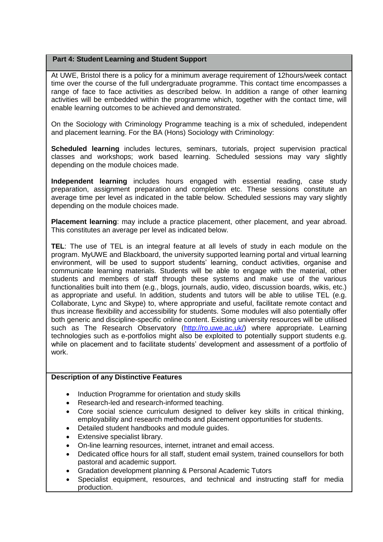### **Part 4: Student Learning and Student Support**

At UWE, Bristol there is a policy for a minimum average requirement of 12hours/week contact time over the course of the full undergraduate programme. This contact time encompasses a range of face to face activities as described below. In addition a range of other learning activities will be embedded within the programme which, together with the contact time, will enable learning outcomes to be achieved and demonstrated.

On the Sociology with Criminology Programme teaching is a mix of scheduled, independent and placement learning. For the BA (Hons) Sociology with Criminology:

**Scheduled learning** includes lectures, seminars, tutorials, project supervision practical classes and workshops; work based learning. Scheduled sessions may vary slightly depending on the module choices made.

**Independent learning** includes hours engaged with essential reading, case study preparation, assignment preparation and completion etc. These sessions constitute an average time per level as indicated in the table below. Scheduled sessions may vary slightly depending on the module choices made.

**Placement learning**: may include a practice placement, other placement, and year abroad. This constitutes an average per level as indicated below.

**TEL**: The use of TEL is an integral feature at all levels of study in each module on the program. MyUWE and Blackboard, the university supported learning portal and virtual learning environment, will be used to support students' learning, conduct activities, organise and communicate learning materials. Students will be able to engage with the material, other students and members of staff through these systems and make use of the various functionalities built into them (e.g., blogs, journals, audio, video, discussion boards, wikis, etc.) as appropriate and useful. In addition, students and tutors will be able to utilise TEL (e.g. Collaborate, Lync and Skype) to, where appropriate and useful, facilitate remote contact and thus increase flexibility and accessibility for students. Some modules will also potentially offer both generic and discipline-specific online content. Existing university resources will be utilised such as The Research Observatory [\(http://ro.uwe.ac.uk/\)](http://ro.uwe.ac.uk/) where appropriate. Learning technologies such as e-portfolios might also be exploited to potentially support students e.g. while on placement and to facilitate students' development and assessment of a portfolio of work.

### **Description of any Distinctive Features**

- Induction Programme for orientation and study skills
- Research-led and research-informed teaching.
- Core social science curriculum designed to deliver key skills in critical thinking, employability and research methods and placement opportunities for students.
- Detailed student handbooks and module quides.
- Extensive specialist library.
- On-line learning resources, internet, intranet and email access.
- Dedicated office hours for all staff, student email system, trained counsellors for both pastoral and academic support.
- Gradation development planning & Personal Academic Tutors
- Specialist equipment, resources, and technical and instructing staff for media production.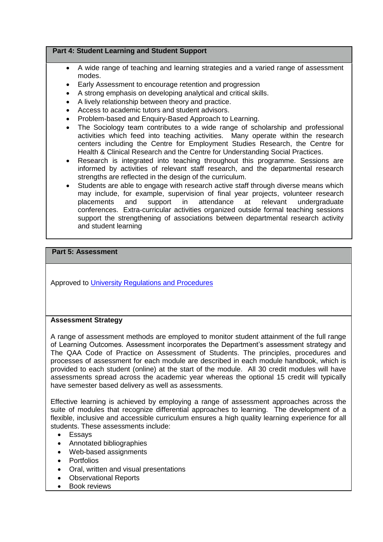### **Part 4: Student Learning and Student Support**

- A wide range of teaching and learning strategies and a varied range of assessment modes.
- Early Assessment to encourage retention and progression
- A strong emphasis on developing analytical and critical skills.
- A lively relationship between theory and practice.
- Access to academic tutors and student advisors.
- Problem-based and Enquiry-Based Approach to Learning.
- The Sociology team contributes to a wide range of scholarship and professional activities which feed into teaching activities. Many operate within the research centers including the Centre for Employment Studies Research, the Centre for Health & Clinical Research and the Centre for Understanding Social Practices.
- Research is integrated into teaching throughout this programme. Sessions are informed by activities of relevant staff research, and the departmental research strengths are reflected in the design of the curriculum.
- Students are able to engage with research active staff through diverse means which may include, for example, supervision of final year projects, volunteer research<br>placements and support in attendance at relevant undergraduate placements and support in attendance at relevant undergraduate conferences. Extra-curricular activities organized outside formal teaching sessions support the strengthening of associations between departmental research activity and student learning

## **Part 5: Assessment**

Approved to [University Regulations and Procedures](http://www1.uwe.ac.uk/students/academicadvice/assessments/regulationsandprocedures.aspx)

## **Assessment Strategy**

A range of assessment methods are employed to monitor student attainment of the full range of Learning Outcomes. Assessment incorporates the Department's assessment strategy and The QAA Code of Practice on Assessment of Students. The principles, procedures and processes of assessment for each module are described in each module handbook, which is provided to each student (online) at the start of the module. All 30 credit modules will have assessments spread across the academic year whereas the optional 15 credit will typically have semester based delivery as well as assessments.

Effective learning is achieved by employing a range of assessment approaches across the suite of modules that recognize differential approaches to learning. The development of a flexible, inclusive and accessible curriculum ensures a high quality learning experience for all students. These assessments include:

- Essays
- Annotated bibliographies
- Web-based assignments
- Portfolios
- Oral, written and visual presentations
- Observational Reports
- Book reviews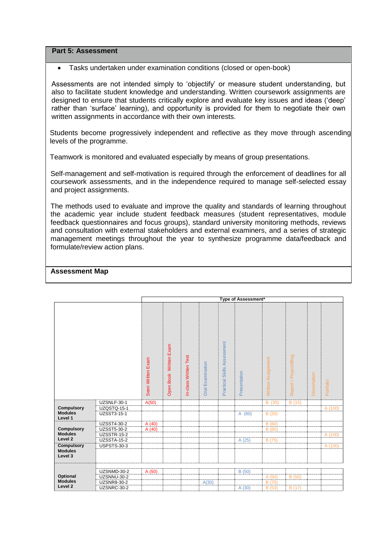**Part 5: Assessment**

Tasks undertaken under examination conditions (closed or open-book)

Assessments are not intended simply to 'objectify' or measure student understanding, but also to facilitate student knowledge and understanding. Written coursework assignments are designed to ensure that students critically explore and evaluate key issues and ideas ('deep' rather than 'surface' learning), and opportunity is provided for them to negotiate their own written assignments in accordance with their own interests.

Students become progressively independent and reflective as they move through ascending levels of the programme.

Teamwork is monitored and evaluated especially by means of group presentations.

Self-management and self-motivation is required through the enforcement of deadlines for all coursework assessments, and in the independence required to manage self-selected essay and project assignments.

The methods used to evaluate and improve the quality and standards of learning throughout the academic year include student feedback measures (student representatives, module feedback questionnaires and focus groups), standard university monitoring methods, reviews and consultation with external stakeholders and external examiners, and a series of strategic management meetings throughout the year to synthesize programme data/feedback and formulate/review action plans.

|                                                |                    | Type of Assessment* |                           |                       |                            |                                |              |                    |                       |              |           |
|------------------------------------------------|--------------------|---------------------|---------------------------|-----------------------|----------------------------|--------------------------------|--------------|--------------------|-----------------------|--------------|-----------|
|                                                |                    | Seen Written Exam   | Written Exam<br>Open Book | In-class Written Test | Examination<br><b>Oral</b> | Skills Assessment<br>Practical | Presentation | Written Assignment | Report / Project/Blog | Dissertation | Portfolio |
|                                                | UZSNLF-30-1        | A(50)               |                           |                       |                            |                                |              | B (35)             | B (15)                |              |           |
| <b>Compulsory</b>                              | <b>UZQSTQ-15-1</b> |                     |                           |                       |                            |                                |              |                    |                       |              | A (100)   |
| <b>Modules</b><br>Level 1                      | UZSST3-15-1        |                     |                           |                       |                            |                                | A (80)       | B(20)              |                       |              |           |
|                                                | <b>UZSST4-30-2</b> | A(40)               |                           |                       |                            |                                |              | B(60)              |                       |              |           |
| <b>Compulsory</b>                              | UZSST5-30-2        | A(40)               |                           |                       |                            |                                |              | B(60)              |                       |              |           |
| <b>Modules</b>                                 | <b>UZSSTR-15-2</b> |                     |                           |                       |                            |                                |              |                    |                       |              | A (100)   |
| Level 2                                        | <b>UZSSTA-15-2</b> |                     |                           |                       |                            |                                | A (25)       | B (75)             |                       |              |           |
| <b>Compulsory</b><br><b>Modules</b><br>Level 3 | <b>USPSTS-30-3</b> |                     |                           |                       |                            |                                |              |                    |                       |              | A (100)   |
|                                                | UZSNMD-30-2        | A (50)              |                           |                       |                            |                                | B (50)       |                    |                       |              |           |
| Optional                                       | UZSNNU-30-2        |                     |                           |                       |                            |                                |              | A (50)             | B(50)                 |              |           |
| <b>Modules</b><br>Level <sub>2</sub>           | <b>UZSNR8-30-2</b> |                     |                           |                       | A(30)                      |                                |              | B (70)             |                       |              |           |
|                                                | UZSNRC-30-2        |                     |                           |                       |                            |                                | A (30)       | B (53)             | B(17)                 |              |           |

**Assessment Map**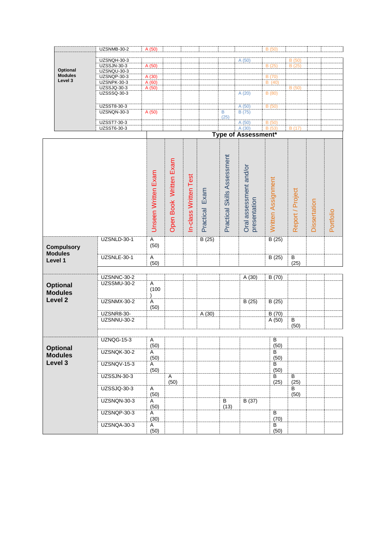|                                   | UZSNMB-30-2                | A(50)                  |                        |                      |                |                             |                                        | B (50)             |                  |              |           |
|-----------------------------------|----------------------------|------------------------|------------------------|----------------------|----------------|-----------------------------|----------------------------------------|--------------------|------------------|--------------|-----------|
|                                   | UZSNQH-30-3                |                        |                        |                      |                |                             | A(50)                                  |                    | B(50)            |              |           |
|                                   | <b>UZSSJN-30-3</b>         | A (50)                 |                        |                      |                |                             |                                        | B(25)              | B(25)            |              |           |
| Optional                          | UZSNQU-30-3                |                        |                        |                      |                |                             |                                        |                    |                  |              |           |
| <b>Modules</b><br>Level 3         | UZSNQP-30-3                | A(30)                  |                        |                      |                |                             |                                        | B (70)             |                  |              |           |
|                                   | UZSNPK-30-3                | A(60)                  |                        |                      |                |                             |                                        | B(40)              |                  |              |           |
|                                   | UZSSJQ-30-3<br>UZSSSQ-30-3 | A (50)                 |                        |                      |                |                             | A(20)                                  | B(80)              | B(50)            |              |           |
|                                   |                            |                        |                        |                      |                |                             |                                        |                    |                  |              |           |
|                                   | UZSST8-30-3                |                        |                        |                      |                |                             | A (50)                                 | B(50)              |                  |              |           |
|                                   | UZSNQN-30-3                | A(50)                  |                        |                      |                | B                           | B(75)                                  |                    |                  |              |           |
|                                   |                            |                        |                        |                      |                | (25)                        |                                        |                    |                  |              |           |
|                                   | UZSST7-30-3                |                        |                        |                      |                |                             | A(50)                                  | B(50)              |                  |              |           |
|                                   | UZSST6-30-3                |                        |                        |                      |                |                             | A(30)                                  | B (53)             | B(17)            |              |           |
|                                   |                            |                        |                        |                      |                |                             | Type of Assessment*                    |                    |                  |              |           |
|                                   |                            | Unseen Written Exam    | Open Book Written Exam | n-class Written Test | Practical Exam | Practical Skills Assessment | Oral assessment and/or<br>presentation | Written Assignment | Report / Project | Dissertation | Portfolio |
| <b>Compulsory</b>                 | UZSNLD-30-1                | Α<br>(50)              |                        |                      | B(25)          |                             |                                        | B(25)              |                  |              |           |
| <b>Modules</b><br>Level 1         | UZSNLE-30-1                | $\overline{A}$<br>(50) |                        |                      |                |                             |                                        | B(25)              | B<br>(25)        |              |           |
|                                   |                            |                        |                        |                      |                |                             |                                        |                    |                  |              |           |
|                                   | UZSNNC-30-2                |                        |                        |                      |                |                             | A(30)                                  | B(70)              |                  |              |           |
| <b>Optional</b><br><b>Modules</b> | UZSSMU-30-2                | A<br>(100)             |                        |                      |                |                             |                                        |                    |                  |              |           |
| Level <sub>2</sub>                | UZSNMX-30-2                | Α<br>(50)              |                        |                      |                |                             | B(25)                                  | B(25)              |                  |              |           |
|                                   | <b>UZSNR8-30-</b>          |                        |                        |                      | A(30)          |                             |                                        | B(70)              |                  |              |           |
|                                   | UZSNNU-30-2                |                        |                        |                      |                |                             |                                        | A(50)              | В<br>(50)        |              |           |
|                                   |                            |                        |                        |                      |                |                             |                                        |                    |                  |              |           |
|                                   | <b>UZNQG-15-3</b>          | A                      |                        |                      |                |                             |                                        | $\overline{B}$     |                  |              |           |
| <b>Optional</b>                   | UZSNQK-30-2                | (50)                   |                        |                      |                |                             |                                        | (50)               |                  |              |           |
| <b>Modules</b>                    |                            | Α<br>(50)              |                        |                      |                |                             |                                        | B<br>(50)          |                  |              |           |
| Level 3                           | <b>UZSNQV-15-3</b>         |                        |                        |                      |                |                             |                                        | В                  |                  |              |           |
|                                   |                            | A<br>(50)              |                        |                      |                |                             |                                        | (50)               |                  |              |           |
|                                   | <b>UZSSJN-30-3</b>         |                        | $\overline{A}$<br>(50) |                      |                |                             |                                        | B<br>(25)          | B<br>(25)        |              |           |
|                                   | UZSSJQ-30-3                | A<br>(50)              |                        |                      |                |                             |                                        |                    | B<br>(50)        |              |           |
|                                   | UZSNQN-30-3                | A                      |                        |                      |                | $\overline{B}$              | B(37)                                  |                    |                  |              |           |
|                                   |                            | (50)                   |                        |                      |                | (13)                        |                                        |                    |                  |              |           |
|                                   | UZSNQP-30-3                | A                      |                        |                      |                |                             |                                        | $\overline{B}$     |                  |              |           |
|                                   |                            | (30)                   |                        |                      |                |                             |                                        | (70)               |                  |              |           |
|                                   | UZSNQA-30-3                | A<br>(50)              |                        |                      |                |                             |                                        | B<br>(50)          |                  |              |           |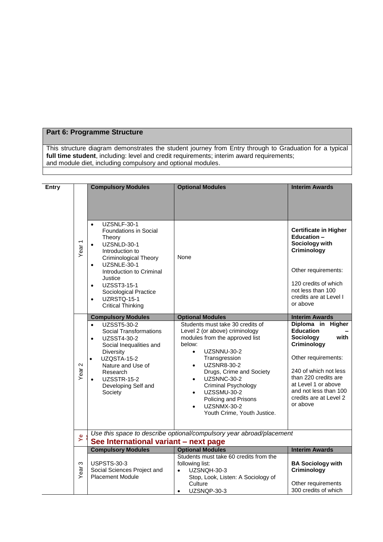# **Part 6: Programme Structure**

This structure diagram demonstrates the student journey from Entry through to Graduation for a typical **full time student**, including: level and credit requirements; interim award requirements; and module diet, including compulsory and optional modules.

|              |                   |                                                                                                                                                                                                                                                           | <b>Optional Modules</b>                                                                                                                                                                                                                                                                                                                                                                             | <b>Interim Awards</b>                                                                                                                                                                                                                   |
|--------------|-------------------|-----------------------------------------------------------------------------------------------------------------------------------------------------------------------------------------------------------------------------------------------------------|-----------------------------------------------------------------------------------------------------------------------------------------------------------------------------------------------------------------------------------------------------------------------------------------------------------------------------------------------------------------------------------------------------|-----------------------------------------------------------------------------------------------------------------------------------------------------------------------------------------------------------------------------------------|
| <b>Entry</b> |                   | <b>Compulsory Modules</b>                                                                                                                                                                                                                                 |                                                                                                                                                                                                                                                                                                                                                                                                     |                                                                                                                                                                                                                                         |
|              | Year <sub>1</sub> | UZSNLF-30-1<br>$\bullet$<br>Foundations in Social<br>Theory<br>UZSNLD-30-1<br>$\bullet$<br>Introduction to<br><b>Criminological Theory</b><br>UZSNLE-30-1<br>$\bullet$<br>Introduction to Criminal                                                        | None                                                                                                                                                                                                                                                                                                                                                                                                | <b>Certificate in Higher</b><br>Education -<br>Sociology with<br>Criminology<br>Other requirements:                                                                                                                                     |
|              |                   | Justice<br>UZSST3-15-1<br>$\bullet$<br>Sociological Practice<br>UZRSTQ-15-1<br>$\bullet$<br><b>Critical Thinking</b>                                                                                                                                      |                                                                                                                                                                                                                                                                                                                                                                                                     | 120 credits of which<br>not less than 100<br>credits are at Level I<br>or above                                                                                                                                                         |
|              |                   | <b>Compulsory Modules</b>                                                                                                                                                                                                                                 | <b>Optional Modules</b>                                                                                                                                                                                                                                                                                                                                                                             | <b>Interim Awards</b>                                                                                                                                                                                                                   |
|              | 2<br>Year         | <b>UZSST5-30-2</b><br>$\bullet$<br><b>Social Transformations</b><br>UZSST4-30-2<br>$\bullet$<br>Social Inequalities and<br>Diversity<br><b>UZQSTA-15-2</b><br>$\bullet$<br>Nature and Use of<br>Research<br>UZSSTR-15-2<br>Developing Self and<br>Society | Students must take 30 credits of<br>Level 2 (or above) criminology<br>modules from the approved list<br>below:<br>UZSNNU-30-2<br>$\bullet$<br>Transgression<br><b>UZSNR8-30-2</b><br>$\bullet$<br>Drugs, Crime and Society<br>UZSNNC-30-2<br>$\bullet$<br>Criminal Psychology<br><b>UZSSMU-30-2</b><br>$\bullet$<br>Policing and Prisons<br>UZSNMX-30-2<br>$\bullet$<br>Youth Crime, Youth Justice. | Diploma in Higher<br><b>Education</b><br>with<br>Sociology<br>Criminology<br>Other requirements:<br>240 of which not less<br>than 220 credits are<br>at Level 1 or above<br>and not less than 100<br>credits are at Level 2<br>or above |
|              | ዾ                 | See International variant - next page                                                                                                                                                                                                                     | Use this space to describe optional/compulsory year abroad/placement                                                                                                                                                                                                                                                                                                                                |                                                                                                                                                                                                                                         |
|              |                   | <b>Compulsory Modules</b>                                                                                                                                                                                                                                 | <b>Optional Modules</b>                                                                                                                                                                                                                                                                                                                                                                             | <b>Interim Awards</b>                                                                                                                                                                                                                   |
|              | ω<br>Year         | <b>USPSTS-30-3</b><br>Social Sciences Project and<br><b>Placement Module</b>                                                                                                                                                                              | Students must take 60 credits from the<br>following list:<br>UZSNQH-30-3<br>Stop, Look, Listen: A Sociology of                                                                                                                                                                                                                                                                                      | <b>BA Sociology with</b><br>Criminology                                                                                                                                                                                                 |
|              |                   |                                                                                                                                                                                                                                                           | Culture<br>UZSNQP-30-3<br>$\bullet$                                                                                                                                                                                                                                                                                                                                                                 | Other requirements<br>300 credits of which                                                                                                                                                                                              |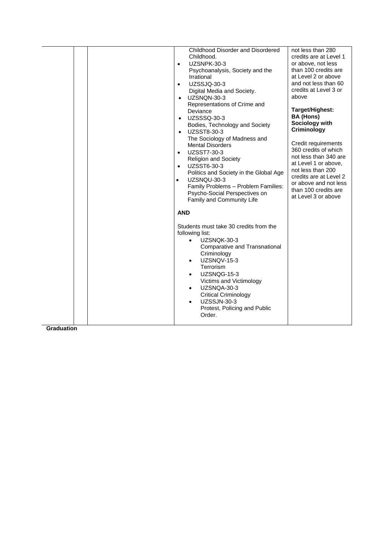| Childhood Disorder and Disordered<br>Childhood.<br>UZSNPK-30-3<br>$\bullet$<br>Psychoanalysis, Society and the<br>Irrational<br>UZSSJQ-30-3<br>$\bullet$<br>Digital Media and Society.<br>UZSNQN-30-3<br>Representations of Crime and                                                                                                                                                                                           | not less than 280<br>credits are at Level 1<br>or above, not less<br>than 100 credits are<br>at Level 2 or above<br>and not less than 60<br>credits at Level 3 or<br>above                                                                                                                  |
|---------------------------------------------------------------------------------------------------------------------------------------------------------------------------------------------------------------------------------------------------------------------------------------------------------------------------------------------------------------------------------------------------------------------------------|---------------------------------------------------------------------------------------------------------------------------------------------------------------------------------------------------------------------------------------------------------------------------------------------|
| Deviance<br>UZSSSQ-30-3<br>$\bullet$<br>Bodies, Technology and Society<br>UZSST8-30-3<br>$\bullet$<br>The Sociology of Madness and<br><b>Mental Disorders</b><br>UZSST7-30-3<br>$\bullet$<br><b>Religion and Society</b><br>UZSST6-30-3<br>$\bullet$<br>Politics and Society in the Global Age<br>UZSNQU-30-3<br>$\bullet$<br>Family Problems - Problem Families:<br>Psycho-Social Perspectives on<br>Family and Community Life | Target/Highest:<br><b>BA (Hons)</b><br>Sociology with<br>Criminology<br>Credit requirements<br>360 credits of which<br>not less than 340 are<br>at Level 1 or above,<br>not less than 200<br>credits are at Level 2<br>or above and not less<br>than 100 credits are<br>at Level 3 or above |
| <b>AND</b><br>Students must take 30 credits from the<br>following list:<br>UZSNQK-30-3<br>Comparative and Transnational<br>Criminology<br>UZSNQV-15-3<br>$\bullet$<br>Terrorism<br>UZSNQG-15-3<br>Victims and Victimology<br>UZSNQA-30-3<br>$\bullet$<br><b>Critical Criminology</b><br><b>UZSSJN-30-3</b><br>$\bullet$<br>Protest, Policing and Public<br>Order.                                                               |                                                                                                                                                                                                                                                                                             |

**Graduation**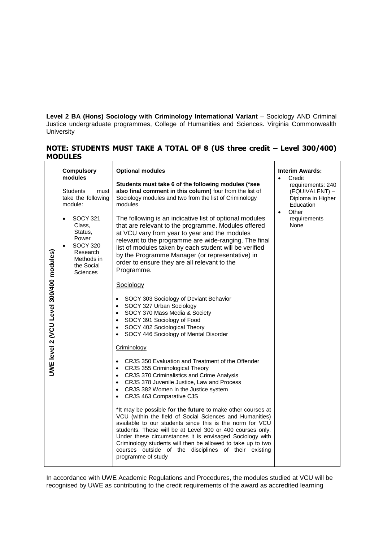**Level 2 BA (Hons) Sociology with Criminology International Variant** – Sociology AND Criminal Justice undergraduate programmes, College of Humanities and Sciences. Virginia Commonwealth University

# **NOTE: STUDENTS MUST TAKE A TOTAL OF 8 (US three credit – Level 300/400) MODULES**

|                                         | <b>Compulsory</b><br>modules<br><b>Students</b><br>must<br>take the following<br>module:                                                       | <b>Optional modules</b><br>Students must take 6 of the following modules (*see<br>also final comment in this column) four from the list of<br>Sociology modules and two from the list of Criminology<br>modules.                                                                                                                                                                                                                                          | <b>Interim Awards:</b><br>Credit<br>requirements: 240<br>(EQUIVALENT) –<br>Diploma in Higher<br>Education |
|-----------------------------------------|------------------------------------------------------------------------------------------------------------------------------------------------|-----------------------------------------------------------------------------------------------------------------------------------------------------------------------------------------------------------------------------------------------------------------------------------------------------------------------------------------------------------------------------------------------------------------------------------------------------------|-----------------------------------------------------------------------------------------------------------|
|                                         | <b>SOCY 321</b><br>$\bullet$<br>Class,<br>Status,<br>Power<br><b>SOCY 320</b><br>$\bullet$<br>Research<br>Methods in<br>the Social<br>Sciences | The following is an indicative list of optional modules<br>that are relevant to the programme. Modules offered<br>at VCU vary from year to year and the modules<br>relevant to the programme are wide-ranging. The final<br>list of modules taken by each student will be verified<br>by the Programme Manager (or representative) in<br>order to ensure they are all relevant to the<br>Programme.                                                       | Other<br>$\bullet$<br>requirements<br>None                                                                |
| UWE level 2 (VCU Level 300/400 modules) |                                                                                                                                                | Sociology<br>SOCY 303 Sociology of Deviant Behavior<br>SOCY 327 Urban Sociology<br>SOCY 370 Mass Media & Society<br>SOCY 391 Sociology of Food<br>SOCY 402 Sociological Theory<br>$\bullet$<br>SOCY 446 Sociology of Mental Disorder<br>Criminology                                                                                                                                                                                                       |                                                                                                           |
|                                         |                                                                                                                                                | CRJS 350 Evaluation and Treatment of the Offender<br>CRJS 355 Criminological Theory<br>CRJS 370 Criminalistics and Crime Analysis<br>$\bullet$<br>CRJS 378 Juvenile Justice, Law and Process<br>$\bullet$<br>CRJS 382 Women in the Justice system<br>CRJS 463 Comparative CJS                                                                                                                                                                             |                                                                                                           |
|                                         |                                                                                                                                                | *It may be possible for the future to make other courses at<br>VCU (within the field of Social Sciences and Humanities)<br>available to our students since this is the norm for VCU<br>students. These will be at Level 300 or 400 courses only.<br>Under these circumstances it is envisaged Sociology with<br>Criminology students will then be allowed to take up to two<br>courses outside of the disciplines of their existing<br>programme of study |                                                                                                           |

In accordance with UWE Academic Regulations and Procedures, the modules studied at VCU will be recognised by UWE as contributing to the credit requirements of the award as accredited learning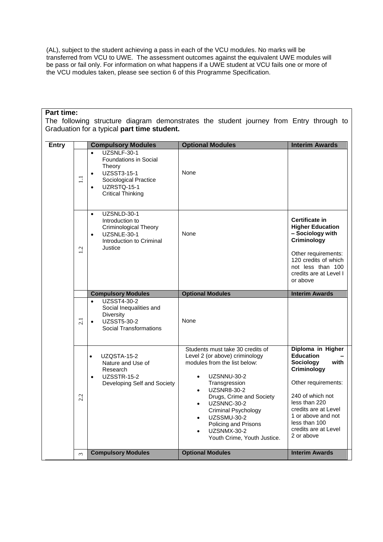(AL), subject to the student achieving a pass in each of the VCU modules. No marks will be transferred from VCU to UWE. The assessment outcomes against the equivalent UWE modules will be pass or fail only. For information on what happens if a UWE student at VCU fails one or more of the VCU modules taken, please see section 6 of this Programme Specification.

### **Part time:**

The following structure diagram demonstrates the student journey from Entry through to Graduation for a typical **part time student.**

| <b>Entry</b> |          | <b>Compulsory Modules</b>                                                                                                                                   | <b>Optional Modules</b>                                                                                                                                                                                                                                                                                                                          | <b>Interim Awards</b>                                                                                                                                                                                                                      |
|--------------|----------|-------------------------------------------------------------------------------------------------------------------------------------------------------------|--------------------------------------------------------------------------------------------------------------------------------------------------------------------------------------------------------------------------------------------------------------------------------------------------------------------------------------------------|--------------------------------------------------------------------------------------------------------------------------------------------------------------------------------------------------------------------------------------------|
|              | $\Xi$    | UZSNLF-30-1<br>$\bullet$<br>Foundations in Social<br>Theory<br>UZSST3-15-1<br>Sociological Practice<br>UZRSTQ-15-1<br>$\bullet$<br><b>Critical Thinking</b> | None                                                                                                                                                                                                                                                                                                                                             |                                                                                                                                                                                                                                            |
|              | 1.2      | UZSNLD-30-1<br>$\bullet$<br>Introduction to<br><b>Criminological Theory</b><br>UZSNLE-30-1<br>$\bullet$<br>Introduction to Criminal<br>Justice              | None                                                                                                                                                                                                                                                                                                                                             | Certificate in<br><b>Higher Education</b><br>- Sociology with<br>Criminology<br>Other requirements:<br>120 credits of which<br>not less than 100<br>credits are at Level I<br>or above                                                     |
|              |          | <b>Compulsory Modules</b>                                                                                                                                   | <b>Optional Modules</b>                                                                                                                                                                                                                                                                                                                          | <b>Interim Awards</b>                                                                                                                                                                                                                      |
|              | 2.1      | <b>UZSST4-30-2</b><br>$\bullet$<br>Social Inequalities and<br><b>Diversity</b><br>UZSST5-30-2<br>$\bullet$<br><b>Social Transformations</b>                 | None                                                                                                                                                                                                                                                                                                                                             |                                                                                                                                                                                                                                            |
|              | 2.2      | UZQSTA-15-2<br>$\bullet$<br>Nature and Use of<br>Research<br>UZSSTR-15-2<br>$\bullet$<br>Developing Self and Society                                        | Students must take 30 credits of<br>Level 2 (or above) criminology<br>modules from the list below:<br>UZSNNU-30-2<br>Transgression<br><b>UZSNR8-30-2</b><br>$\bullet$<br>Drugs, Crime and Society<br>UZSNNC-30-2<br>$\bullet$<br>Criminal Psychology<br><b>UZSSMU-30-2</b><br>Policing and Prisons<br>UZSNMX-30-2<br>Youth Crime, Youth Justice. | Diploma in Higher<br><b>Education</b><br>Sociology<br>with<br>Criminology<br>Other requirements:<br>240 of which not<br>less than 220<br>credits are at Level<br>1 or above and not<br>less than 100<br>credits are at Level<br>2 or above |
|              | $\omega$ | <b>Compulsory Modules</b>                                                                                                                                   | <b>Optional Modules</b>                                                                                                                                                                                                                                                                                                                          | <b>Interim Awards</b>                                                                                                                                                                                                                      |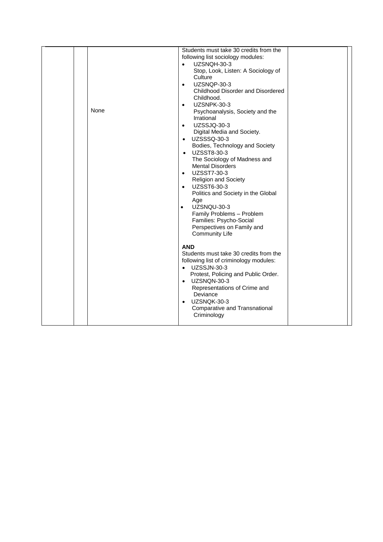|      | Students must take 30 credits from the                                           |  |
|------|----------------------------------------------------------------------------------|--|
|      | following list sociology modules:                                                |  |
|      | UZSNQH-30-3<br>$\bullet$                                                         |  |
|      | Stop, Look, Listen: A Sociology of                                               |  |
|      | Culture                                                                          |  |
|      | UZSNQP-30-3<br>$\bullet$                                                         |  |
|      | Childhood Disorder and Disordered                                                |  |
|      | Childhood.                                                                       |  |
|      | UZSNPK-30-3<br>$\bullet$                                                         |  |
| None | Psychoanalysis, Society and the                                                  |  |
|      | Irrational                                                                       |  |
|      | UZSSJQ-30-3<br>$\bullet$                                                         |  |
|      | Digital Media and Society.                                                       |  |
|      | • UZSSSQ-30-3                                                                    |  |
|      | Bodies, Technology and Society                                                   |  |
|      | <b>UZSST8-30-3</b><br>$\bullet$<br>The Sociology of Madness and                  |  |
|      | <b>Mental Disorders</b>                                                          |  |
|      | UZSST7-30-3<br>$\bullet$                                                         |  |
|      | <b>Religion and Society</b>                                                      |  |
|      | UZSST6-30-3<br>$\bullet$                                                         |  |
|      | Politics and Society in the Global                                               |  |
|      | Age                                                                              |  |
|      | UZSNQU-30-3<br>$\bullet$                                                         |  |
|      | Family Problems - Problem                                                        |  |
|      | Families: Psycho-Social                                                          |  |
|      | Perspectives on Family and                                                       |  |
|      | <b>Community Life</b>                                                            |  |
|      |                                                                                  |  |
|      | <b>AND</b>                                                                       |  |
|      | Students must take 30 credits from the<br>following list of criminology modules: |  |
|      | • UZSSJN-30-3                                                                    |  |
|      | Protest, Policing and Public Order.                                              |  |
|      | • UZSNQN-30-3                                                                    |  |
|      | Representations of Crime and                                                     |  |
|      | Deviance                                                                         |  |
|      | UZSNQK-30-3<br>$\bullet$                                                         |  |
|      | Comparative and Transnational                                                    |  |
|      | Criminology                                                                      |  |
|      |                                                                                  |  |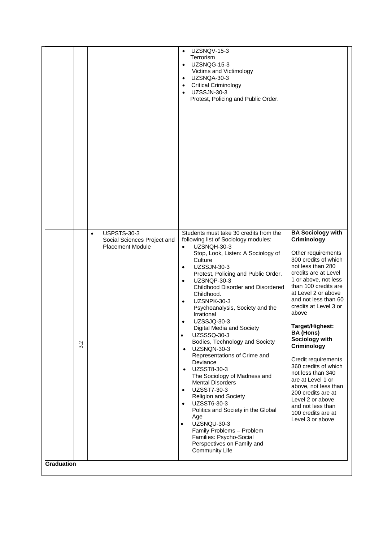| Students must take 30 credits from the<br><b>USPSTS-30-3</b><br>$\bullet$                                                                                                                                                                                                                                                                                                                                                                                                                                                                                                                                                                                                                                                                                                                                                                                                                                                                                                                                                                                                                                                               |  | Terrorism<br>UZSNQG-15-3<br>$\bullet$<br>Victims and Victimology<br>UZSNQA-30-3<br>$\bullet$<br><b>Critical Criminology</b><br>$\bullet$<br><b>UZSSJN-30-3</b><br>$\bullet$<br>Protest, Policing and Public Order. | <b>BA Sociology with</b>                                                                                                                                                                                                                                                                                                                                                                                             |
|-----------------------------------------------------------------------------------------------------------------------------------------------------------------------------------------------------------------------------------------------------------------------------------------------------------------------------------------------------------------------------------------------------------------------------------------------------------------------------------------------------------------------------------------------------------------------------------------------------------------------------------------------------------------------------------------------------------------------------------------------------------------------------------------------------------------------------------------------------------------------------------------------------------------------------------------------------------------------------------------------------------------------------------------------------------------------------------------------------------------------------------------|--|--------------------------------------------------------------------------------------------------------------------------------------------------------------------------------------------------------------------|----------------------------------------------------------------------------------------------------------------------------------------------------------------------------------------------------------------------------------------------------------------------------------------------------------------------------------------------------------------------------------------------------------------------|
| Criminology<br>following list of Sociology modules:<br>Social Sciences Project and<br><b>Placement Module</b><br>UZSNQH-30-3<br>$\bullet$<br>Stop, Look, Listen: A Sociology of<br>Culture<br><b>UZSSJN-30-3</b><br>$\bullet$<br>Protest, Policing and Public Order.<br>UZSNQP-30-3<br>$\bullet$<br>Childhood Disorder and Disordered<br>Childhood.<br>UZSNPK-30-3<br>$\bullet$<br>Psychoanalysis, Society and the<br>above<br>Irrational<br><b>UZSSJQ-30-3</b><br>$\bullet$<br>Target/Highest:<br>Digital Media and Society<br><b>BA (Hons)</b><br>UZSSSQ-30-3<br>$\bullet$<br>Sociology with<br>Bodies, Technology and Society<br>3.2<br>Criminology<br>UZSNQN-30-3<br>$\bullet$<br>Representations of Crime and<br>Deviance<br>UZSST8-30-3<br>$\bullet$<br>The Sociology of Madness and<br>are at Level 1 or<br><b>Mental Disorders</b><br>UZSST7-30-3<br>$\bullet$<br><b>Religion and Society</b><br>UZSST6-30-3<br>$\bullet$<br>Politics and Society in the Global<br>Age<br>UZSNQU-30-3<br>$\bullet$<br>Family Problems - Problem<br>Families: Psycho-Social<br>Perspectives on Family and<br><b>Community Life</b><br>Graduation |  |                                                                                                                                                                                                                    | Other requirements<br>300 credits of which<br>not less than 280<br>credits are at Level<br>1 or above, not less<br>than 100 credits are<br>at Level 2 or above<br>and not less than 60<br>credits at Level 3 or<br>Credit requirements<br>360 credits of which<br>not less than 340<br>above, not less than<br>200 credits are at<br>Level 2 or above<br>and not less than<br>100 credits are at<br>Level 3 or above |